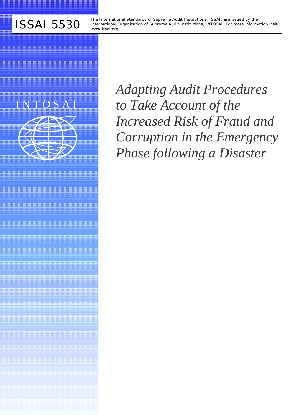ISSAI 5530 The International Standards of Supreme Audit Institutions, ISSAI, are issued by the<br>
Wave international Organization of Supreme Audit Institutions, INTOSAI. For more informational Critical Critical Critical Orga International Organization of Supreme Audit Institutions, INTOSAI. For more information visit *www.issai.org*

# I N T O S A I



*Adapting Audit Procedures to Take Account of the Increased Risk of Fraud and Corruption in the Emergency Phase following a Disaster*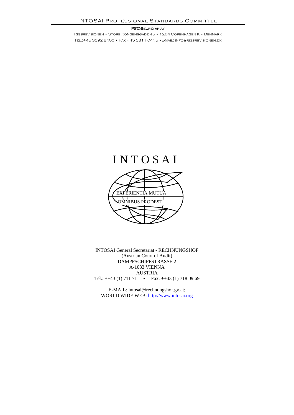#### PSC-Secretariat

Rigsrevisionen • Store Kongensgade 45 • 1264 Copenhagen K • Denmark Tel.:+45 3392 8400 • Fax:+45 3311 0415 •E-mail: info@rigsrevisionen.dk



INTOSAI General Secretariat - RECHNUNGSHOF (Austrian Court of Audit) DAMPFSCHIFFSTRASSE 2 A-1033 VIENNA AUSTRIA Tel.: ++43 (1) 711 71 • Fax: ++43 (1) 718 09 69

E-MAIL: intosai@rechnungshof.gv.at; WORLD WIDE WEB: http://www.intosai.org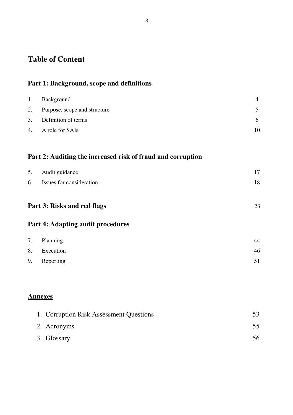## **Table of Content**

### **Part 1: Background, scope and definitions**

| 1. Background                   |    |
|---------------------------------|----|
| 2. Purpose, scope and structure |    |
| 3. Definition of terms          | h. |
| 4. A role for SAIs              |    |

## **Part 2: Auditing the increased risk of fraud and corruption**

| 5. Audit guidance           | 17 |
|-----------------------------|----|
| 6. Issues for consideration | 18 |
|                             |    |

## **Part 3: Risks and red flags** 23

### **Part 4: Adapting audit procedures**

| 7. Planning  | 44 |
|--------------|----|
| 8. Execution | 46 |
| 9. Reporting |    |

### **Annexes**

| 1. Corruption Risk Assessment Questions |    |
|-----------------------------------------|----|
| 2. Acronyms                             |    |
| 3. Glossary                             | 56 |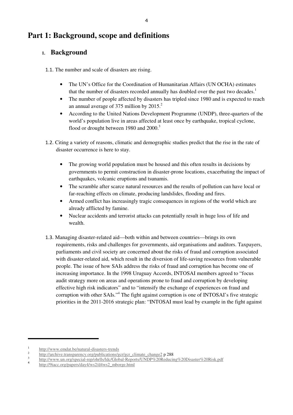## **Part 1: Background, scope and definitions**

### **1. Background**

1.1. The number and scale of disasters are rising.

- The UN's Office for the Coordination of Humanitarian Affairs (UN OCHA) estimates that the number of disasters recorded annually has doubled over the past two decades.<sup>1</sup>
- The number of people affected by disasters has tripled since 1980 and is expected to reach an annual average of 375 million by  $2015.<sup>2</sup>$
- According to the United Nations Development Programme (UNDP), three-quarters of the world's population live in areas affected at least once by earthquake, tropical cyclone, flood or drought between 1980 and 2000.<sup>3</sup>
- 1.2. Citing a variety of reasons, climatic and demographic studies predict that the rise in the rate of disaster occurrence is here to stay.
	- The growing world population must be housed and this often results in decisions by governments to permit construction in disaster-prone locations, exacerbating the impact of earthquakes, volcanic eruptions and tsunamis.
	- The scramble after scarce natural resources and the results of pollution can have local or far-reaching effects on climate, producing landslides, flooding and fires.
	- Armed conflict has increasingly tragic consequences in regions of the world which are already afflicted by famine.
	- Nuclear accidents and terrorist attacks can potentially result in huge loss of life and wealth.
- 1.3. Managing disaster-related aid—both within and between countries—brings its own requirements, risks and challenges for governments, aid organisations and auditors. Taxpayers, parliaments and civil society are concerned about the risks of fraud and corruption associated with disaster-related aid, which result in the diversion of life-saving resources from vulnerable people. The issue of how SAIs address the risks of fraud and corruption has become one of increasing importance. In the 1998 Uruguay Accords, INTOSAI members agreed to "focus audit strategy more on areas and operations prone to fraud and corruption by developing effective high risk indicators" and to "intensify the exchange of experiences on fraud and corruption with other SAIs."<sup>4</sup> The fight against corruption is one of INTOSAI's five strategic priorities in the 2011-2016 strategic plan: "INTOSAI must lead by example in the fight against

 1 http://www.emdat.be/natural-disasters-trends

<sup>2</sup> http://archive.transparency.org/publications/gcr/gcr\_climate\_change2 p 288

<sup>3</sup> http://www.un.org/special-rep/ohrlls/ldc/Global-Reports/UNDP%20Reducing%20Disaster%20Risk.pdf 4

http://9iacc.org/papers/day4/ws2/d4ws2\_mborge.html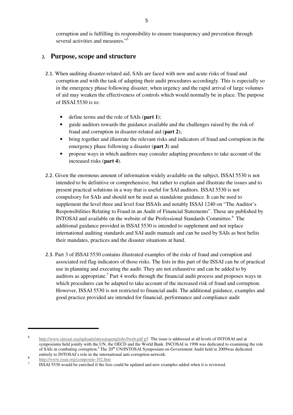corruption and is fulfilling its responsibility to ensure transparency and prevention through several activities and measures."<sup>5</sup>

### **2. Purpose, scope and structure**

- 2.1. When auditing disaster-related aid, SAIs are faced with new and acute risks of fraud and corruption and with the task of adapting their audit procedures accordingly. This is especially so in the emergency phase following disaster, when urgency and the rapid arrival of large volumes of aid may weaken the effectiveness of controls which would normally be in place. The purpose of ISSAI 5530 is to:
	- define terms and the role of SAIs (**part 1**);
	- guide auditors towards the guidance available and the challenges raised by the risk of fraud and corruption in disaster-related aid (**part 2**);
	- bring together and illustrate the relevant risks and indicators of fraud and corruption in the emergency phase following a disaster (**part 3**) and
	- propose ways in which auditors may consider adapting procedures to take account of the increased risks (**part 4**).
- 2.2. Given the enormous amount of information widely available on the subject, ISSAI 5530 is not intended to be definitive or comprehensive, but rather to explain and illustrate the issues and to present practical solutions in a way that is useful for SAI auditors. ISSAI 5530 is not compulsory for SAIs and should not be used as standalone guidance. It can be used to supplement the level three and level four ISSAIs and notably ISSAI 1240 on "The Auditor's Responsibilities Relating to Fraud in an Audit of Financial Statements". These are published by INTOSAI and available on the website of the Professional Standards Committee.<sup>6</sup> The additional guidance provided in ISSAI 5530 is intended to supplement and not replace international auditing standards and SAI audit manuals and can be used by SAIs as best befits their mandates, practices and the disaster situations at hand.
- 2.3. Part 3 of ISSAI 5530 contains illustrated examples of the risks of fraud and corruption and associated red flag indicators of those risks. The lists in this part of the ISSAI can be of practical use in planning and executing the audit. They are not exhaustive and can be added to by auditors as appropriate.<sup>7</sup> Part 4 works through the financial audit process and proposes ways in which procedures can be adapted to take account of the increased risk of fraud and corruption. However, ISSAI 5530 is not restricted to financial audit. The additional guidance, examples and good practice provided are intended for financial, performance and compliance audit

 5 http://www.intosai.org/uploads/intosaispenglishv9web.pdf p5 The issue is addressed at all levels of INTOSAI and at symposiums held jointly with the UN, the OECD and the World Bank. INCOSAI in 1998 was dedicated to examining the role of SAIs in combating corruption.<sup>5</sup> The 20<sup>th</sup> UN/INTOSAI Symposium on Government Audit held in 2009was dedicated entirely to INTOSAI's role in the international anti-corruption network.

<sup>6</sup> http://www.issai.org/composite-192.htm

<sup>7</sup> ISSAI 5530 would be enriched if the lists could be updated and new examples added when it is reviewed.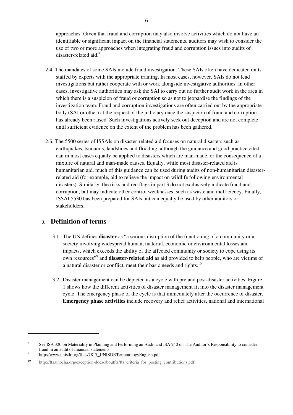approaches. Given that fraud and corruption may also involve activities which do not have an identifiable or significant impact on the financial statements, auditors may wish to consider the use of two or more approaches when integrating fraud and corruption issues into audits of disaster-related aid.<sup>8</sup>

- 2.4. The mandates of some SAIs include fraud investigation. These SAIs often have dedicated units staffed by experts with the appropriate training. In most cases, however, SAIs do not lead investigations but rather cooperate with or work alongside investigative authorities. In other cases, investigative authorities may ask the SAI to carry out no further audit work in the area in which there is a suspicion of fraud or corruption so as not to jeopardise the findings of the investigation team. Fraud and corruption investigations are often carried out by the appropriate body (SAI or other) at the request of the judiciary once the suspicion of fraud and corruption has already been raised. Such investigations actively seek out deception and are not complete until sufficient evidence on the extent of the problem has been gathered.
- 2.5. The 5500 series of ISSAIs on disaster-related aid focuses on natural disasters such as earthquakes, tsunamis, landslides and flooding, although the guidance and good practice cited can in most cases equally be applied to disasters which are man-made, or the consequence of a mixture of natural and man-made causes. Equally, while most disaster-related aid is humanitarian aid, much of this guidance can be used during audits of non-humanitarian disasterrelated aid (for example, aid to relieve the impact on wildlife following environmental disasters). Similarly, the risks and red flags in part 3 do not exclusively indicate fraud and corruption, but may indicate other control weaknesses, such as waste and inefficiency. Finally, ISSAI 5530 has been prepared for SAIs but can equally be used by other auditors or stakeholders.

### **3. Definition of terms**

- 3.1 The UN defines **disaster** as "a serious disruption of the functioning of a community or a society involving widespread human, material, economic or environmental losses and impacts, which exceeds the ability of the affected community or society to cope using its own resources"<sup>9</sup> and **disaster-related aid** as aid provided to help people, who are victims of a natural disaster or conflict, meet their basic needs and rights.<sup>10</sup>
- 3.2 Disaster management can be depicted as a cycle with pre and post-disaster activities. Figure 1 shows how the different activities of disaster management fit into the disaster management cycle. The emergency phase of the cycle is that immediately after the occurrence of disaster. **Emergency phase activities** include recovery and relief activities, national and international

 8 See ISA 320 on Materiality in Planning and Performing an Audit and ISA 240 on The Auditor's Responsibility to consider fraud in an audit of financial statements 9

http://www.unisdr.org/files/7817\_UNISDRTerminologyEnglish.pdf

<sup>&</sup>lt;sup>10</sup> http://fts.unocha.org/exception-docs/aboutfts/fts\_criteria\_for\_posting\_contributions.pdf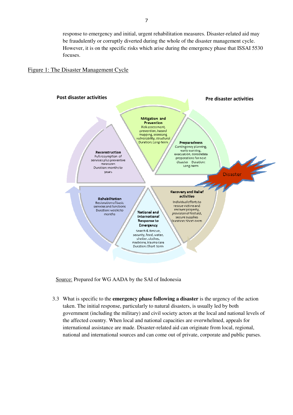response to emergency and initial, urgent rehabilitation measures. Disaster-related aid may be fraudulently or corruptly diverted during the whole of the disaster management cycle. However, it is on the specific risks which arise during the emergency phase that ISSAI 5530 focuses.

#### Figure 1: The Disaster Management Cycle



Source: Prepared for WG AADA by the SAI of Indonesia

3.3 What is specific to the **emergency phase following a disaster** is the urgency of the action taken. The initial response, particularly to natural disasters, is usually led by both government (including the military) and civil society actors at the local and national levels of the affected country. When local and national capacities are overwhelmed, appeals for international assistance are made. Disaster-related aid can originate from local, regional, national and international sources and can come out of private, corporate and public purses.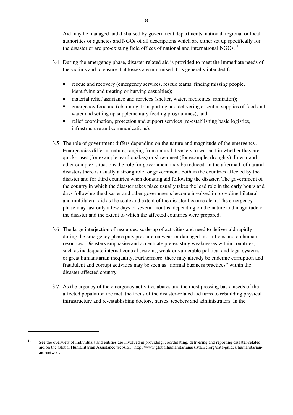Aid may be managed and disbursed by government departments, national, regional or local authorities or agencies and NGOs of all descriptions which are either set up specifically for the disaster or are pre-existing field offices of national and international NGOs.<sup>11</sup>

- 3.4 During the emergency phase, disaster-related aid is provided to meet the immediate needs of the victims and to ensure that losses are minimised. It is generally intended for:
	- rescue and recovery (emergency services, rescue teams, finding missing people, identifying and treating or burying casualties);
	- material relief assistance and services (shelter, water, medicines, sanitation);
	- emergency food aid (obtaining, transporting and delivering essential supplies of food and water and setting up supplementary feeding programmes); and
	- relief coordination, protection and support services (re-establishing basic logistics, infrastructure and communications).
- 3.5 The role of government differs depending on the nature and magnitude of the emergency. Emergencies differ in nature, ranging from natural disasters to war and in whether they are quick-onset (for example, earthquakes) or slow-onset (for example, droughts). In war and other complex situations the role for government may be reduced. In the aftermath of natural disasters there is usually a strong role for government, both in the countries affected by the disaster and for third countries when donating aid following the disaster. The government of the country in which the disaster takes place usually takes the lead role in the early hours and days following the disaster and other governments become involved in providing bilateral and multilateral aid as the scale and extent of the disaster become clear. The emergency phase may last only a few days or several months, depending on the nature and magnitude of the disaster and the extent to which the affected countries were prepared.
- 3.6 The large interjection of resources, scale-up of activities and need to deliver aid rapidly during the emergency phase puts pressure on weak or damaged institutions and on human resources. Disasters emphasise and accentuate pre-existing weaknesses within countries, such as inadequate internal control systems, weak or vulnerable political and legal systems or great humanitarian inequality. Furthermore, there may already be endemic corruption and fraudulent and corrupt activities may be seen as "normal business practices" within the disaster-affected country.
- 3.7 As the urgency of the emergency activities abates and the most pressing basic needs of the affected population are met, the focus of the disaster-related aid turns to rebuilding physical infrastructure and re-establishing doctors, nurses, teachers and administrators. In the

 <sup>11</sup> See the overview of individuals and entities are involved in providing, coordinating, delivering and reporting disaster-related aid on the Global Humanitarian Assistance website. http://www.globalhumanitarianassistance.org/data-guides/humanitarianaid-network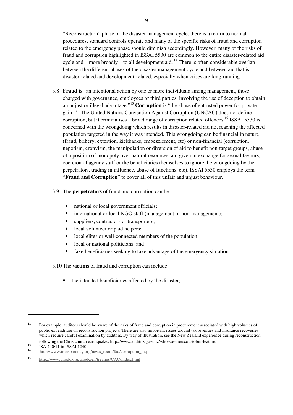"Reconstruction" phase of the disaster management cycle, there is a return to normal procedures, standard controls operate and many of the specific risks of fraud and corruption related to the emergency phase should diminish accordingly. However, many of the risks of fraud and corruption highlighted in ISSAI 5530 are common to the entire disaster-related aid cycle and—more broadly—to all development aid.<sup>12</sup> There is often considerable overlap between the different phases of the disaster management cycle and between aid that is disaster-related and development-related, especially when crises are long-running.

- 3.8 **Fraud** is "an intentional action by one or more individuals among management, those charged with governance, employees or third parties, involving the use of deception to obtain an unjust or illegal advantage."<sup>13</sup> **Corruption** is "the abuse of entrusted power for private gain."<sup>14</sup> The United Nations Convention Against Corruption (UNCAC) does not define corruption, but it criminalises a broad range of corruption related offences.<sup>15</sup> ISSAI 5530 is concerned with the wrongdoing which results in disaster-related aid not reaching the affected population targeted in the way it was intended. This wrongdoing can be financial in nature (fraud, bribery, extortion, kickbacks, embezzlement, etc) or non-financial (corruption, nepotism, cronyism, the manipulation or diversion of aid to benefit non-target groups, abuse of a position of monopoly over natural resources, aid given in exchange for sexual favours, coercion of agency staff or the beneficiaries themselves to ignore the wrongdoing by the perpetrators, trading in influence, abuse of functions, etc). ISSAI 5530 employs the term "**Fraud and Corruption**" to cover all of this unfair and unjust behaviour.
- 3.9 The **perpetrators** of fraud and corruption can be:
	- national or local government officials;
	- international or local NGO staff (management or non-management);
	- suppliers, contractors or transporters;
	- local volunteer or paid helpers;
	- local elites or well-connected members of the population;
	- local or national politicians; and
	- fake beneficiaries seeking to take advantage of the emergency situation.

3.10 The **victims** of fraud and corruption can include:

the intended beneficiaries affected by the disaster;

 <sup>12</sup> For example, auditors should be aware of the risks of fraud and corruption in procurement associated with high volumes of public expenditure on reconstruction projects. There are also important issues around tax revenues and insurance recoveries which require careful examination by auditors. By way of illustration, see the New Zealand experience during reconstruction following the Christchurch earthquakes http://www.auditnz.govt.nz/who-we-are/scott-tobin-feature.

<sup>&</sup>lt;sup>13</sup> ISA 240/11 in ISSAI 1240

<sup>14</sup> http://www.transparency.org/news\_room/faq/corruption\_faq

<sup>15</sup> http://www.unodc.org/unodc/en/treaties/CAC/index.html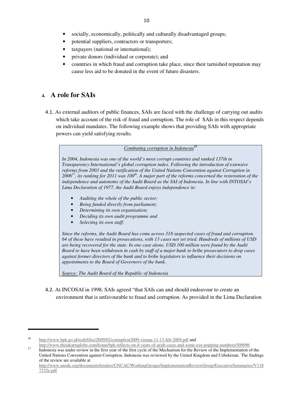- socially, economically, politically and culturally disadvantaged groups;
- potential suppliers, contractors or transporters;
- taxpayers (national or international);
- private donors (individual or corporate); and
- countries in which fraud and corruption take place, since their tarnished reputation may cause less aid to be donated in the event of future disasters.

### **4. A role for SAIs**

4.1. As external auditors of public finances, SAIs are faced with the challenge of carrying out audits which take account of the risk of fraud and corruption. The role of SAIs in this respect depends on individual mandates. The following example shows that providing SAIs with appropriate powers can yield satisfying results.

#### *Combating corruption in Indonesia<sup>16</sup>*

*In 2004, Indonesia was one of the world's most corrupt countries and ranked 137th in Transparency International's global corruption index. Following the introduction of extensive reforms from 2003 and the ratification of the United Nations Convention against Corruption in 2006<sup>17</sup>, its ranking for 2011 was 100th. A major part of the reforms concerned the restoration of the independence and autonomy of the Audit Board as the SAI of Indonesia. In line with INTOSAI's Lima Declaration of 1977, the Audit Board enjoys independence in:* 

- *Auditing the whole of the public sector;*
- *Being funded directly from parliament;*
- *Determining its own organisation;*
- *Deciding its own audit programme and*
- *Selecting its own staff.*

*Since the reforms, the Audit Board has come across 318 suspected cases of fraud and corruption. 64 of these have resulted in prosecutions, with 13 cases not yet tried. Hundreds of millions of USD are being recovered for the state. In one case alone, USD 100 million were found by the Audit Board to have been withdrawn in cash by staff of a major bank to bribe prosecutors to drop cases against former directors of the bank and to bribe legislators to influence their decisions on appointments to the Board of Governors of the bank.* 

*Source: The Audit Board of the Republic of Indonesia* 

4.2. At INCOSAI in 1998, SAIs agreed "that SAIs can and should endeavour to create an environment that is unfavourable to fraud and corruption. As provided in the Lima Declaration

<sup>16</sup> http://www.bpk.go.id/web/files/2009/02/corruption2009-vienna-11-13-feb-2009.pdf and

http://www.thejakartaglobe.com/home/bpk-reflects-on-8-years-of-graft-cases-and-some-eye-popping-numbers/509096 <sup>17</sup> Indonesia was under review in the first year of the first cycle of the Mechanism for the Review of the Implementation of the United Nations Convention against Corruption. Indonesia was reviewed by the United Kingdom and Uzbekistan. The findings of the review are available at

http://www.unodc.org/documents/treaties/UNCAC/WorkingGroups/ImplementationReviewGroup/ExecutiveSummaries/V118 7232e.pdf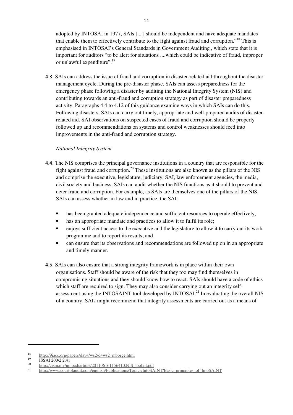adopted by INTOSAI in 1977, SAIs [....] should be independent and have adequate mandates that enable them to effectively contribute to the fight against fraud and corruption."<sup>18</sup> This is emphasised in INTOSAI's General Standards in Government Auditing , which state that it is important for auditors "to be alert for situations ....which could be indicative of fraud, improper or unlawful expenditure".<sup>19</sup>

4.3. SAIs can address the issue of fraud and corruption in disaster-related aid throughout the disaster management cycle. During the pre-disaster phase, SAIs can assess preparedness for the emergency phase following a disaster by auditing the National Integrity System (NIS) and contributing towards an anti-fraud and corruption strategy as part of disaster preparedness activity. Paragraphs 4.4 to 4.12 of this guidance examine ways in which SAIs can do this. Following disasters, SAIs can carry out timely, appropriate and well-prepared audits of disasterrelated aid. SAI observations on suspected cases of fraud and corruption should be properly followed up and recommendations on systems and control weaknesses should feed into improvements in the anti-fraud and corruption strategy.

#### *National Integrity System*

- 4.4. The NIS comprises the principal governance institutions in a country that are responsible for the fight against fraud and corruption.<sup>20</sup> These institutions are also known as the pillars of the NIS and comprise the executive, legislature, judiciary, SAI, law enforcement agencies, the media, civil society and business. SAIs can audit whether the NIS functions as it should to prevent and deter fraud and corruption. For example, as SAIs are themselves one of the pillars of the NIS, SAIs can assess whether in law and in practice, the SAI:
	- has been granted adequate independence and sufficient resources to operate effectively;
	- has an appropriate mandate and practices to allow it to fulfil its role;
	- enjoys sufficient access to the executive and the legislature to allow it to carry out its work programme and to report its results; and
	- can ensure that its observations and recommendations are followed up on in an appropriate and timely manner.
- 4.5. SAIs can also ensure that a strong integrity framework is in place within their own organisations. Staff should be aware of the risk that they too may find themselves in compromising situations and they should know how to react. SAIs should have a code of ethics which staff are required to sign. They may also consider carrying out an integrity selfassessment using the INTOSAINT tool developed by INTOSAI.<sup>21</sup> In evaluating the overall NIS of a country, SAIs might recommend that integrity assessments are carried out as a means of

  $\frac{18}{19}$  http://9iacc.org/papers/day4/ws2/d4ws2\_mborge.html

 $^{19}$  ISSAI 200/2.2.41

<sup>&</sup>lt;sup>20</sup> http://cism.my/upload/article/201106161156410.NIS\_toolkit.pdf<br><sup>21</sup> http://www.coortofaulit.com/up-li-h/Publications/Fraise/JateSA

<sup>21</sup> http://www.courtofaudit.com/english/Publications/Topics/IntoSAINT/Basic\_principles\_of\_IntoSAINT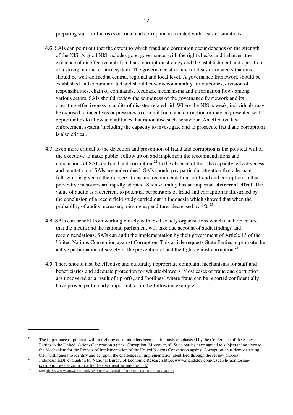preparing staff for the risks of fraud and corruption associated with disaster situations.

- 4.6. SAIs can point out that the extent to which fraud and corruption occur depends on the strength of the NIS. A good NIS includes good governance, with the right checks and balances, the existence of an effective anti-fraud and corruption strategy and the establishment and operation of a strong internal control system. The governance structure for disaster-related situations should be well-defined at central, regional and local level. A governance framework should be established and communicated and should cover accountability for outcomes, division of responsibilities, chain of commands, feedback mechanisms and information flows among various actors. SAIs should review the soundness of the governance framework and its operating effectiveness in audits of disaster-related aid. Where the NIS is weak, individuals may be exposed to incentives or pressures to commit fraud and corruption or may be presented with opportunities to allow and attitudes that rationalise such behaviour. An effective law enforcement system (including the capacity to investigate and to prosecute fraud and corruption) is also critical.
- 4.7. Even more critical to the detection and prevention of fraud and corruption is the political will of the executive to make public, follow up on and implement the recommendations and conclusions of SAIs on fraud and corruption.<sup>22</sup> In the absence of this, the capacity, effectiveness and reputation of SAIs are undermined. SAIs should pay particular attention that adequate follow-up is given to their observations and recommendations on fraud and corruption so that preventive measures are rapidly adopted. Such visibility has an important **deterrent effect**. The value of audits as a deterrent to potential perpetrators of fraud and corruption is illustrated by the conclusion of a recent field study carried out in Indonesia which showed that when the probability of audits increased, missing expenditures decreased by  $8\%$ <sup>23</sup>
- 4.8. SAIs can benefit from working closely with civil society organisations which can help ensure that the media and the national parliament will take due account of audit findings and recommendations. SAIs can audit the implementation by their government of Article 13 of the United Nations Convention against Corruption. This article requests State Parties to promote the active participation of society in the prevention of and the fight against corruption.<sup>24</sup>
- 4.9. There should also be effective and culturally appropriate complaint mechanisms for staff and beneficiaries and adequate protection for whistle-blowers. Most cases of fraud and corruption are uncovered as a result of tip-offs, and 'hotlines' where fraud can be reported confidentially have proven particularly important, as in the following example.

<sup>&</sup>lt;sup>22</sup> The importance of political will in fighting corruption has been continuously emphasised by the Conference of the States Parties to the United Nations Convention against Corruption. Moreover, all State parties have agreed to subject themselves to the Mechanism for the Review of Implementation of the United Nations Convention against Corruption, thus demonstrating their willingness to identify and act upon the challenges in implementation identified through the review process.

<sup>&</sup>lt;sup>23</sup> Indonesia KDP evaluation by National Bureau of Economic Research http://www.mendeley.com/research/monitoringcorruption-evidence-from-a-field-experiment-in-indonesia-1/

 $\frac{24}{\text{see } \text{http://www.ansa-eap.net/resources/thematic/piloting-participatory-audit/}}$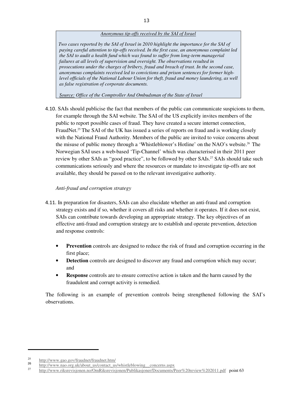#### *Anonymous tip-offs received by the SAI of Israel*

*Two cases reported by the SAI of Israel in 2010 highlight the importance for the SAI of paying careful attention to tip-offs received. In the first case, an anonymous complaint led the SAI to audit a health fund which was found to suffer from long-term managerial failures at all levels of supervision and oversight. The observations resulted in prosecutions under the charges of bribery, fraud and breach of trust. In the second case, anonymous complaints received led to convictions and prison sentences for former highlevel officials of the National Labour Union for theft, fraud and money laundering, as well as false registration of corporate documents.* 

*Source: Office of the Comptroller And Ombudsman of the State of Israel*

4.10. SAIs should publicise the fact that members of the public can communicate suspicions to them, for example through the SAI website. The SAI of the US explicitly invites members of the public to report possible cases of fraud. They have created a secure internet connection, FraudNet.<sup>25</sup> The SAI of the UK has issued a series of reports on fraud and is working closely with the National Fraud Authority. Members of the public are invited to voice concerns about the misuse of public money through a 'Whistleblower's Hotline' on the NAO's website.<sup>26</sup> The Norwegian SAI uses a web-based 'Tip-Channel' which was characterised in their 2011 peer review by other SAIs as "good practice", to be followed by other SAIs.<sup>27</sup> SAIs should take such communications seriously and where the resources or mandate to investigate tip-offs are not available, they should be passed on to the relevant investigative authority.

#### *Anti-fraud and corruption strategy*

- 4.11. In preparation for disasters, SAIs can also elucidate whether an anti-fraud and corruption strategy exists and if so, whether it covers all risks and whether it operates. If it does not exist, SAIs can contribute towards developing an appropriate strategy. The key objectives of an effective anti-fraud and corruption strategy are to establish and operate prevention, detection and response controls:
	- **Prevention** controls are designed to reduce the risk of fraud and corruption occurring in the first place;
	- **Detection** controls are designed to discover any fraud and corruption which may occur; and
	- **Response** controls are to ensure corrective action is taken and the harm caused by the fraudulent and corrupt activity is remedied.

The following is an example of prevention controls being strengthened following the SAI's observations.

<sup>&</sup>lt;sup>25</sup> http://www.gao.gov/fraudnet/fraudnet.htm/<br>26 http://www.gao.gov/fraudnet/fraudnet.htm

 $\frac{26}{27}$  http://www.nao.org.uk/about\_us/contact\_us/whistleblowing\_concerns.aspx

<sup>27</sup> http://www.riksrevisjonen.no/OmRiksrevisjonen/Publikasjoner/Documents/Peer%20review%202011.pdf point 63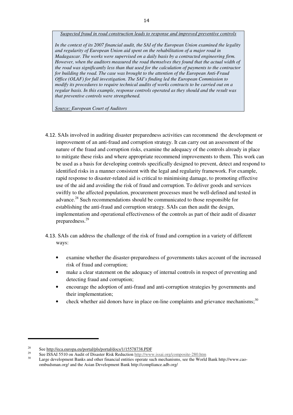*Suspected fraud in road construction leads to response and improved preventive controls* 

*In the context of its 2007 financial audit, the SAI of the European Union examined the legality and regularity of European Union aid spent on the rehabilitation of a major road in Madagascar. The works were supervised on a daily basis by a contracted engineering firm. However, when the auditors measured the road themselves they found that the actual width of the road was significantly less than that used for the calculation of payments to the contractor for building the road. The case was brought to the attention of the European Anti-Fraud Office (OLAF) for full investigation. The SAI's finding led the European Commission to modify its procedures to require technical audits of works contracts to be carried out on a regular basis. In this example, response controls operated as they should and the result was that preventive controls were strengthened.* 

*Source: European Court of Auditors* 

- 4.12. SAIs involved in auditing disaster preparedness activities can recommend the development or improvement of an anti-fraud and corruption strategy. It can carry out an assessment of the nature of the fraud and corruption risks, examine the adequacy of the controls already in place to mitigate these risks and where appropriate recommend improvements to them. This work can be used as a basis for developing controls specifically designed to prevent, detect and respond to identified risks in a manner consistent with the legal and regularity framework. For example, rapid response to disaster-related aid is critical to minimising damage, to promoting effective use of the aid and avoiding the risk of fraud and corruption. To deliver goods and services swiftly to the affected population, procurement processes must be well-defined and tested in advance.<sup>28</sup> Such recommendations should be communicated to those responsible for establishing the anti-fraud and corruption strategy. SAIs can then audit the design, implementation and operational effectiveness of the controls as part of their audit of disaster preparedness.<sup>29</sup>
- 4.13. SAIs can address the challenge of the risk of fraud and corruption in a variety of different ways:
	- examine whether the disaster-preparedness of governments takes account of the increased risk of fraud and corruption;
	- make a clear statement on the adequacy of internal controls in respect of preventing and detecting fraud and corruption;
	- encourage the adoption of anti-fraud and anti-corruption strategies by governments and their implementation;
	- check whether aid donors have in place on-line complaints and grievance mechanisms; $30$

<sup>&</sup>lt;sup>28</sup> See http://eca.europa.eu/portal/pls/portal/docs/1/15578738.PDF

<sup>&</sup>lt;sup>29</sup> See ISSAI 5510 on Audit of Disaster Risk Reduction http://www.issai.org/composite-280.htm

Large development Banks and other financial entities operate such mechanisms, see the World Bank http://www.caoombudsman.org/ and the Asian Development Bank http://compliance.adb.org/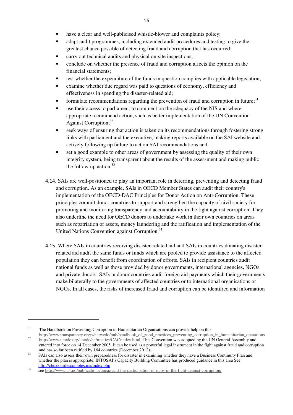- adapt audit programmes, including extended audit procedures and testing to give the greatest chance possible of detecting fraud and corruption that has occurred;
- carry out technical audits and physical on-site inspections;
- conclude on whether the presence of fraud and corruption affects the opinion on the financial statements;
- test whether the expenditure of the funds in question complies with applicable legislation;
- examine whether due regard was paid to questions of economy, efficiency and effectiveness in spending the disaster-related aid;
- formulate recommendations regarding the prevention of fraud and corruption in future; $31$
- use their access to parliament to comment on the adequacy of the NIS and where appropriate recommend action, such as better implementation of the UN Convention Against Corruption;<sup>32</sup>
- seek ways of ensuring that action is taken on its recommendations through fostering strong links with parliament and the executive, making reports available on the SAI website and actively following up failure to act on SAI recommendations and
- set a good example to other areas of government by assessing the quality of their own integrity system, being transparent about the results of the assessment and making public the follow-up action. $33$
- 4.14. SAIs are well-positioned to play an important role in deterring, preventing and detecting fraud and corruption. As an example, SAIs in OECD Member States can audit their country's implementation of the OECD-DAC Principles for Donor Action on Anti-Corruption. These principles commit donor countries to support and strengthen the capacity of civil society for promoting and monitoring transparency and accountability in the fight against corruption. They also underline the need for OECD donors to undertake work in their own countries on areas such as repatriation of assets, money laundering and the ratification and implementation of the United Nations Convention against Corruption.<sup>34</sup>
- 4.15. Where SAIs in countries receiving disaster-related aid and SAIs in countries donating disasterrelated aid audit the same funds or funds which are pooled to provide assistance to the affected population they can benefit from coordination of efforts. SAIs in recipient countries audit national funds as well as those provided by donor governments, international agencies, NGOs and private donors. SAIs in donor countries audit foreign aid payments which their governments make bilaterally to the governments of affected countries or to international organisations or NGOs. In all cases, the risks of increased fraud and corruption can be identified and information

 <sup>31</sup> The Handbook on Preventing Corruption in Humanitarian Organisations can provide help on this.

http://www.transparency.org/whatwedo/pub/handbook\_of\_good\_practices\_preventing\_corruption\_in\_humanitarian\_operations 32 http://www.unodc.org/unodc/en/treaties/CAC/index.html This Convention was adopted by the UN General Assembly and entered into force on 14 December 2005. It can be used as a powerful legal instrument in the fight against fraud and corruption and has so far been ratified by 164 countries (December 2012).

<sup>&</sup>lt;sup>33</sup> SAIs can also assess their own preparedness for disaster in examining whether they have a Business Continuity Plan and whether the plan is appropriate. INTOSAI's Capacity Building Committee has produced guidance in this area See http://cbc.courdescomptes.ma/index.php

<sup>&</sup>lt;sup>34</sup> see http://www.u4.no/publications/uncac-and-the-participation-of-ngos-in-the-fight-against-corruption/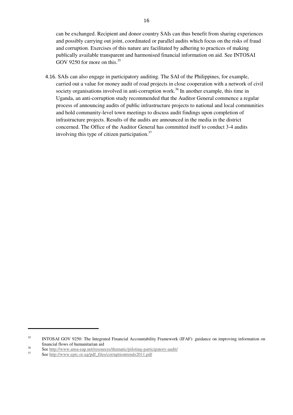can be exchanged. Recipient and donor country SAIs can thus benefit from sharing experiences and possibly carrying out joint, coordinated or parallel audits which focus on the risks of fraud and corruption. Exercises of this nature are facilitated by adhering to practices of making publically available transparent and harmonised financial information on aid. See INTOSAI GOV 9250 for more on this. $35$ 

4.16. SAIs can also engage in participatory auditing. The SAI of the Philippines, for example, carried out a value for money audit of road projects in close cooperation with a network of civil society organisations involved in anti-corruption work.<sup>36</sup> In another example, this time in Uganda, an anti-corruption study recommended that the Auditor General commence a regular process of announcing audits of public infrastructure projects to national and local communities and hold community-level town meetings to discuss audit findings upon completion of infrastructure projects. Results of the audits are announced in the media in the district concerned. The Office of the Auditor General has committed itself to conduct 3-4 audits involving this type of citizen participation. $37$ 

<sup>&</sup>lt;sup>35</sup> INTOSAI GOV 9250: The Integrated Financial Accountability Framework (IFAF): guidance on improving information on financial flows of humanitarian aid

<sup>&</sup>lt;sup>36</sup><br>See <u>http://www.ansa-eap.net/resources/thematic/piloting-participatory-audit/</u><br>See http://www.ansa-eap.net/resources/thematic/piloting-participatory-audit/

See http://www.eprc.or.ug/pdf\_files/corruptiontrends2011.pdf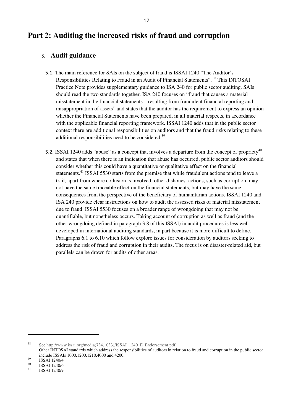## **Part 2: Auditing the increased risks of fraud and corruption**

### **5. Audit guidance**

- 5.1. The main reference for SAIs on the subject of fraud is ISSAI 1240 "The Auditor's Responsibilities Relating to Fraud in an Audit of Financial Statements".<sup>38</sup> This INTOSAI Practice Note provides supplementary guidance to ISA 240 for public sector auditing. SAIs should read the two standards together. ISA 240 focuses on "fraud that causes a material misstatement in the financial statements....resulting from fraudulent financial reporting and... misappropriation of assets" and states that the auditor has the requirement to express an opinion whether the Financial Statements have been prepared, in all material respects, in accordance with the applicable financial reporting framework. ISSAI 1240 adds that in the public sector context there are additional responsibilities on auditors and that the fraud risks relating to these additional responsibilities need to be considered. $39$
- 5.2. ISSAI 1240 adds "abuse" as a concept that involves a departure from the concept of propriety<sup>40</sup> and states that when there is an indication that abuse has occurred, public sector auditors should consider whether this could have a quantitative or qualitative effect on the financial statements.<sup>41</sup> ISSAI 5530 starts from the premise that while fraudulent actions tend to leave a trail, apart from where collusion is involved, other dishonest actions, such as corruption, may not have the same traceable effect on the financial statements, but may have the same consequences from the perspective of the beneficiary of humanitarian actions. ISSAI 1240 and ISA 240 provide clear instructions on how to audit the assessed risks of material misstatement due to fraud. ISSAI 5530 focuses on a broader range of wrongdoing that may not be quantifiable, but nonetheless occurs. Taking account of corruption as well as fraud (and the other wrongdoing defined in paragraph 3.8 of this ISSAI) in audit procedures is less welldeveloped in international auditing standards, in part because it is more difficult to define. Paragraphs 6.1 to 6.10 which follow explore issues for consideration by auditors seeking to address the risk of fraud and corruption in their audits. The focus is on disaster-related aid, but parallels can be drawn for audits of other areas.

<sup>38</sup> See http://www.issai.org/media(734,1033)/ISSAI\_1240\_E\_Endorsement.pdf

Other INTOSAI standards which address the responsibilities of auditors in relation to fraud and corruption in the public sector include ISSAIs 1000,1200,1210,4000 and 4200.

 $\frac{39}{40}$  ISSAI 1240/4

 $^{40}$  ISSAI 1240/6

<sup>41</sup> ISSAI 1240/9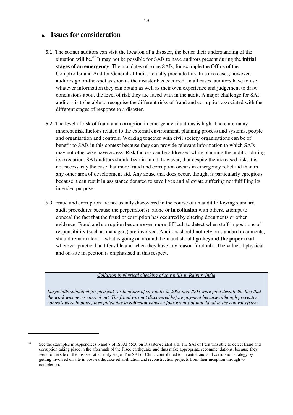### **6. Issues for consideration**

- 6.1. The sooner auditors can visit the location of a disaster, the better their understanding of the situation will be.<sup>42</sup> It may not be possible for SAIs to have auditors present during the **initial stages of an emergency**. The mandates of some SAIs, for example the Office of the Comptroller and Auditor General of India, actually preclude this. In some cases, however, auditors go on-the-spot as soon as the disaster has occurred. In all cases, auditors have to use whatever information they can obtain as well as their own experience and judgement to draw conclusions about the level of risk they are faced with in the audit. A major challenge for SAI auditors is to be able to recognise the different risks of fraud and corruption associated with the different stages of response to a disaster.
- 6.2. The level of risk of fraud and corruption in emergency situations is high. There are many inherent **risk factors** related to the external environment, planning process and systems, people and organisation and controls. Working together with civil society organisations can be of benefit to SAIs in this context because they can provide relevant information to which SAIs may not otherwise have access. Risk factors can be addressed while planning the audit or during its execution. SAI auditors should bear in mind, however, that despite the increased risk, it is not necessarily the case that more fraud and corruption occurs in emergency relief aid than in any other area of development aid. Any abuse that does occur, though, is particularly egregious because it can result in assistance donated to save lives and alleviate suffering not fulfilling its intended purpose.
- 6.3. Fraud and corruption are not usually discovered in the course of an audit following standard audit procedures because the perpetrator(s), alone or **in collusion** with others, attempt to conceal the fact that the fraud or corruption has occurred by altering documents or other evidence. Fraud and corruption become even more difficult to detect when staff in positions of responsibility (such as managers) are involved. Auditors should not rely on standard documents, should remain alert to what is going on around them and should go **beyond the paper trail** wherever practical and feasible and when they have any reason for doubt. The value of physical and on-site inspection is emphasised in this respect.

#### *Collusion in physical checking of saw mills in Raipur, India*

Large bills submitted for physical verifications of saw mills in 2003 and 2004 were paid despite the fact that *the work was never carried out. The fraud was not discovered before payment because although preventive controls were in place, they failed due to collusion between four groups of individual in the control system.* 

 <sup>42</sup> See the examples in Appendices 6 and 7 of ISSAI 5520 on Disaster-related aid. The SAI of Peru was able to detect fraud and corruption taking place in the aftermath of the Pisco earthquake and thus make appropriate recommendations, because they went to the site of the disaster at an early stage. The SAI of China contributed to an anti-fraud and corruption strategy by getting involved on site in post-earthquake rehabilitation and reconstruction projects from their inception through to completion.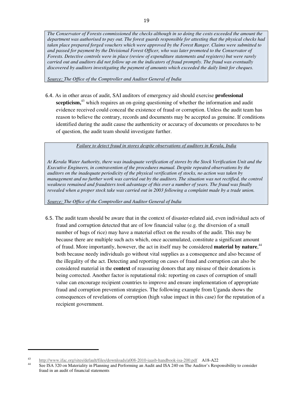*The Conservator of Forests commissioned the checks although in so doing the costs exceeded the amount the department was authorised to pay out. The forest guards responsible for attesting that the physical checks had taken place prepared forged vouchers which were approved by the Forest Ranger. Claims were submitted to and passed for payment by the Divisional Forest Officer, who was later promoted to the Conservator of Forests. Detective controls were in place (review of expenditure statements and registers) but were rarely carried out and auditors did not follow up on the indicators of fraud promptly. The fraud was eventually discovered by auditors investigating the payment of amounts which exceeded the daily limit for cheques.*

*Source: The Office of the Comptroller and Auditor General of India*

6.4. As in other areas of audit, SAI auditors of emergency aid should exercise **professional scepticism,**<sup>43</sup> which requires an on-going questioning of whether the information and audit evidence received could conceal the existence of fraud or corruption. Unless the audit team has reason to believe the contrary, records and documents may be accepted as genuine. If conditions identified during the audit cause the authenticity or accuracy of documents or procedures to be of question, the audit team should investigate further.

*Failure to detect fraud in stores despite observations of auditors in Kerala, India* 

*At Kerala Water Authority, there was inadequate verification of stores by the Stock Verification Unit and the Executive Engineers, in contravention of the procedures manual. Despite repeated observations by the auditors on the inadequate periodicity of the physical verification of stocks, no action was taken by management and no further work was carried out by the auditors. The situation was not rectified, the control weakness remained and fraudsters took advantage of this over a number of years. The fraud was finally revealed when a proper stock take was carried out in 2003 following a complaint made by a trade union.*

*Source: The Office of the Comptroller and Auditor General of India*

6.5. The audit team should be aware that in the context of disaster-related aid, even individual acts of fraud and corruption detected that are of low financial value (e.g. the diversion of a small number of bags of rice) may have a material effect on the results of the audit. This may be because there are multiple such acts which, once accumulated, constitute a significant amount of fraud. More importantly, however, the act in itself may be considered **material by nature**, 44 both because needy individuals go without vital supplies as a consequence and also because of the illegality of the act. Detecting and reporting on cases of fraud and corruption can also be considered material in the **context** of reassuring donors that any misuse of their donations is being corrected. Another factor is reputational risk: reporting on cases of corruption of small value can encourage recipient countries to improve and ensure implementation of appropriate fraud and corruption prevention strategies. The following example from Uganda shows the consequences of revelations of corruption (high value impact in this case) for the reputation of a recipient government.

 <sup>43</sup> http://www.ifac.org/sites/default/files/downloads/a008-2010-iaasb-handbook-isa-200.pdf A18-A22

See ISA 320 on Materiality in Planning and Performing an Audit and ISA 240 on The Auditor's Responsibility to consider fraud in an audit of financial statements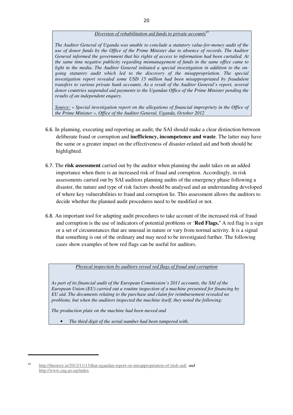#### *Diversion of rehabilitation aid funds to private accounts<sup>4</sup>*

*The Auditor General of Uganda was unable to conclude a statutory value-for-money audit of the use of donor funds by the Office of the Prime Minister due to absence of records. The Auditor General informed the government that his rights of access to information had been curtailed. At the same time negative publicity regarding mismanagement of funds in the same office came to light in the media. The Auditor General initiated a special investigation in addition to the ongoing statutory audit which led to the discovery of the misappropriation. The special investigation report revealed some USD 15 million had been misappropriated by fraudulent transfers to various private bank accounts. As a result of the Auditor General's report, several donor countries suspended aid payments to the Ugandan Office of the Prime Minister pending the results of an independent enquiry.* 

*Source: « Special investigation report on the allegations of financial impropriety in the Office of the Prime Minister », Office of the Auditor General, Uganda, October 2012*

- 6.6. In planning, executing and reporting an audit, the SAI should make a clear distinction between deliberate fraud or corruption and **inefficiency, incompetence and waste**. The latter may have the same or a greater impact on the effectiveness of disaster-related aid and both should be highlighted.
- 6.7. The **risk assessment** carried out by the auditor when planning the audit takes on an added importance when there is an increased risk of fraud and corruption. Accordingly, in risk assessments carried out by SAI auditors planning audits of the emergency phase following a disaster, the nature and type of risk factors should be analysed and an understanding developed of where key vulnerabilities to fraud and corruption lie. This assessment allows the auditors to decide whether the planned audit procedures need to be modified or not.
- 6.8. An important tool for adapting audit procedures to take account of the increased risk of fraud and corruption is the use of indicators of potential problems or '**Red Flags.'** A red flag is a sign or a set of circumstances that are unusual in nature or vary from normal activity. It is a signal that something is out of the ordinary and may need to be investigated further. The following cases show examples of how red flags can be useful for auditors.

*Physical inspection by auditors reveal red flags of fraud and corruption* 

*As part of its financial audit of the European Commission's 2011 accounts, the SAI of the European Union (EU) carried out a routine inspection of a machine presented for financing by EU aid. The documents relating to the purchase and claim for reimbursement revealed no problems, but when the auditors inspected the machine itself, they noted the following:* 

*The production plate on the machine had been moved and* 

• *The third digit of the serial number had been tampered with.* 

<sup>45</sup> http://thestory.ie/2012/11/13/that-ugandan-report-on-misappropriation-of-irish-aid/. and http://www.oag.go.ug/index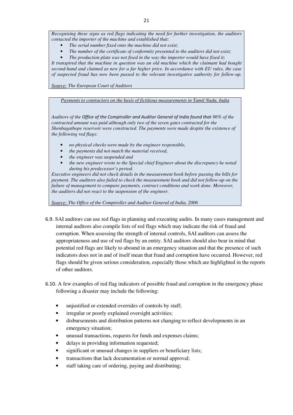*Recognising these signs as red flags indicating the need for further investigation, the auditors contacted the importer of the machine and established that:* 

- *The serial number fixed onto the machine did not exist;*
- *The number of the certificate of conformity presented to the auditors did not exist;*
- *The production plate was not fixed in the way the importer would have fixed it;*

*It transpired that the machine in question was an old machine which the claimant had bought second-hand and claimed as new for a far higher price. In accordance with EU rules, the case of suspected fraud has now been passed to the relevant investigative authority for follow-up.*

*Source: The European Court of Auditors* 

*Payments to contractors on the basis of fictitious measurements in Tamil Nadu, India* 

*Auditors of the Office of the Comptroller and Auditor General of India found that 86% of the contracted amount was paid although only two of the seven gates contracted for the Shenbagathope reservoir were constructed. The payments were made despite the existence of the following red flags:* 

- *no physical checks were made by the engineer responsible,*
- *the payments did not match the material received,*
- *the engineer was suspended and*
- *the new engineer wrote to the Special chief Engineer about the discrepancy he noted during his predecessor's period.*

*Executive engineers did not check details in the measurement book before passing the bills for payment. The auditors also failed to check the measurement book and did not follow-up on the failure of management to compare payments, contract conditions and work done. Moreover, the auditors did not react to the suspension of the engineer.*

*Source: The Office of the Comptroller and Auditor General of India, 2006* 

- 6.9. SAI auditors can use red flags in planning and executing audits. In many cases management and internal auditors also compile lists of red flags which may indicate the risk of fraud and corruption. When assessing the strength of internal controls, SAI auditors can assess the appropriateness and use of red flags by an entity. SAI auditors should also bear in mind that potential red flags are likely to abound in an emergency situation and that the presence of such indicators does not in and of itself mean that fraud and corruption have occurred. However, red flags should be given serious consideration, especially those which are highlighted in the reports of other auditors.
- 6.10. A few examples of red flag indicators of possible fraud and corruption in the emergency phase following a disaster may include the following:
	- unjustified or extended overrides of controls by staff;
	- irregular or poorly explained oversight activities;
	- disbursements and distribution patterns not changing to reflect developments in an emergency situation;
	- unusual transactions, requests for funds and expenses claims;
	- delays in providing information requested;
	- significant or unusual changes in suppliers or beneficiary lists;
	- transactions that lack documentation or normal approval;
	- staff taking care of ordering, paying and distributing;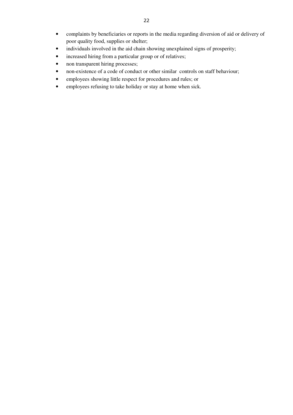- complaints by beneficiaries or reports in the media regarding diversion of aid or delivery of poor quality food, supplies or shelter;
- individuals involved in the aid chain showing unexplained signs of prosperity;
- increased hiring from a particular group or of relatives;
- non transparent hiring processes;
- non-existence of a code of conduct or other similar controls on staff behaviour;
- employees showing little respect for procedures and rules; or
- employees refusing to take holiday or stay at home when sick.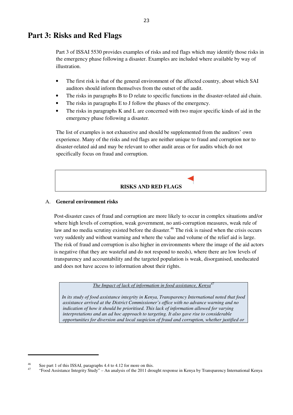### **Part 3: Risks and Red Flags**

Part 3 of ISSAI 5530 provides examples of risks and red flags which may identify those risks in the emergency phase following a disaster. Examples are included where available by way of illustration.

- The first risk is that of the general environment of the affected country, about which SAI auditors should inform themselves from the outset of the audit.
- The risks in paragraphs B to D relate to specific functions in the disaster-related aid chain.
- The risks in paragraphs E to J follow the phases of the emergency.
- The risks in paragraphs K and L are concerned with two major specific kinds of aid in the emergency phase following a disaster.

The list of examples is not exhaustive and should be supplemented from the auditors' own experience. Many of the risks and red flags are neither unique to fraud and corruption nor to disaster-related aid and may be relevant to other audit areas or for audits which do not specifically focus on fraud and corruption.

### **RISKS AND RED FLAGS**

#### A. **General environment risks**

Post-disaster cases of fraud and corruption are more likely to occur in complex situations and/or where high levels of corruption, weak government, no anti-corruption measures, weak rule of law and no media scrutiny existed before the disaster.<sup>46</sup> The risk is raised when the crisis occurs very suddenly and without warning and where the value and volume of the relief aid is large. The risk of fraud and corruption is also higher in environments where the image of the aid actors is negative (that they are wasteful and do not respond to needs), where there are low levels of transparency and accountability and the targeted population is weak, disorganised, uneducated and does not have access to information about their rights.

*The Impact of lack of information in food assistance, Kenya<sup>4</sup>* 

*In its study of food assistance integrity in Kenya, Transparency International noted that food assistance arrived at the District Commissioner's office with no advance warning and no indication of how it should be prioritised. This lack of information allowed for varying interpretations and an ad hoc approach to targeting. It also gave rise to considerable opportunities for diversion and local suspicion of fraud and corruption, whether justified or* 

<sup>&</sup>lt;sup>46</sup> See part 1 of this ISSAI, paragraphs 4.4 to 4.12 for more on this.

<sup>47</sup> "Food Assistance Integrity Study" – An analysis of the 2011 drought response in Kenya by Transparency International Kenya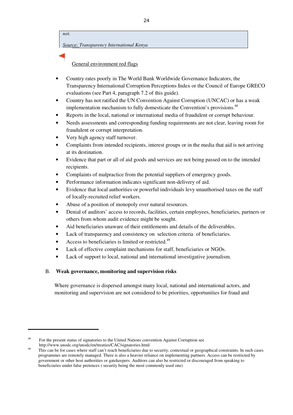*not. Source: Transparency International Kenya* 

General environment red flags

- Country rates poorly in The World Bank Worldwide Governance Indicators, the Transparency International Corruption Perceptions Index or the Council of Europe GRECO evaluations (see Part 4, paragraph 7.2 of this guide).
- Country has not ratified the UN Convention Against Corruption (UNCAC) or has a weak implementation mechanism to fully domesticate the Convention's provisions.<sup>48</sup>
- Reports in the local, national or international media of fraudulent or corrupt behaviour.
- Needs assessments and corresponding funding requirements are not clear, leaving room for fraudulent or corrupt interpretation.
- Very high agency staff turnover.
- Complaints from intended recipients, interest groups or in the media that aid is not arriving at its destination.
- Evidence that part or all of aid goods and services are not being passed on to the intended recipients.
- Complaints of malpractice from the potential suppliers of emergency goods.
- Performance information indicates significant non-delivery of aid.
- Evidence that local authorities or powerful individuals levy unauthorised taxes on the staff of locally-recruited relief workers.
- Abuse of a position of monopoly over natural resources.
- Denial of auditors' access to records, facilities, certain employees, beneficiaries, partners or others from whom audit evidence might be sought.
- Aid beneficiaries unaware of their entitlements and details of the deliverables.
- Lack of transparency and consistency on selection criteria of beneficiaries.
- Access to beneficiaries is limited or restricted.<sup>49</sup>
- Lack of effective complaint mechanisms for staff, beneficiaries or NGOs.
- Lack of support to local, national and international investigative journalism.

#### B. **Weak governance, monitoring and supervision risks**

Where governance is dispersed amongst many local, national and international actors, and monitoring and supervision are not considered to be priorities, opportunities for fraud and

<sup>&</sup>lt;sup>48</sup> For the present status of signatories to the United Nations convention Against Corruption see http://www.unodc.org/unodc/en/treaties/CAC/signatories.html

<sup>&</sup>lt;sup>49</sup> This can be for cases where staff can't reach beneficiaries due to security, contextual or geographical constraints. In such cases programmes are remotely managed. There is also a heavier reliance on implementing partners. Access can be restricted by government or other host authorities or gatekeepers. Auditors can also be restricted or discouraged from speaking to beneficiaries under false pretences ( security being the most commonly used one)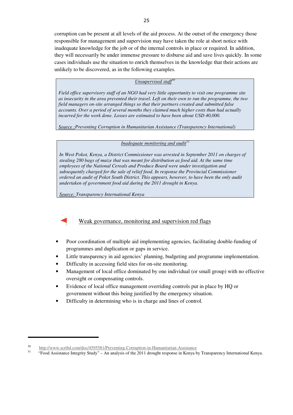corruption can be present at all levels of the aid process. At the outset of the emergency those responsible for management and supervision may have taken the role at short notice with inadequate knowledge for the job or of the internal controls in place or required. In addition, they will necessarily be under immense pressure to disburse aid and save lives quickly. In some cases individuals use the situation to enrich themselves in the knowledge that their actions are unlikely to be discovered, as in the following examples.

#### *Unsupervised staff<sup>50</sup>*

*Field office supervisory staff of an NGO had very little opportunity to visit one programme site as insecurity in the area prevented their travel. Left on their own to run the programme, the two field managers on-site arranged things so that their partners created and submitted false accounts. Over a period of several months they claimed much higher costs than had actually incurred for the work done. Losses are estimated to have been about USD 40,000.* 

*Source :Preventing Corruption in Humanitarian Assistance (Transparency International)* 

#### *Inadequate monitoring and audit<sup>51</sup>*

*In West Pokot, Kenya, a District Commissioner was arrested in September 2011 on charges of stealing 280 bags of maize that was meant for distribution as food aid. At the same time employees of the National Cereals and Produce Board were under investigation and subsequently charged for the sale of relief food. In response the Provincial Commissioner ordered an audit of Pokot South District. This appears, however, to have been the only audit undertaken of government food aid during the 2011 drought in Kenya.*

*Source: Transparency International Kenya* 



### Weak governance, monitoring and supervision red flags

- Poor coordination of multiple aid implementing agencies, facilitating double-funding of programmes and duplication or gaps in service.
- Little transparency in aid agencies' planning, budgeting and programme implementation.
- Difficulty in accessing field sites for on-site monitoring.
- Management of local office dominated by one individual (or small group) with no effective oversight or compensating controls.
- Evidence of local office management overriding controls put in place by HQ or government without this being justified by the emergency situation.
- Difficulty in determining who is in charge and lines of control.

 <sup>50</sup> http://www.scribd.com/doc/4595581/Preventing-Corruption-in-Humanitarian-Assistance

<sup>51</sup> "Food Assistance Integrity Study" – An analysis of the 2011 drought response in Kenya by Transparency International Kenya.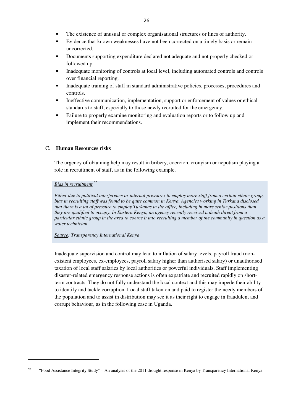- Evidence that known weaknesses have not been corrected on a timely basis or remain uncorrected.
- Documents supporting expenditure declared not adequate and not properly checked or followed up.
- Inadequate monitoring of controls at local level, including automated controls and controls over financial reporting.
- Inadequate training of staff in standard administrative policies, processes, procedures and controls.
- Ineffective communication, implementation, support or enforcement of values or ethical standards to staff, especially to those newly recruited for the emergency.
- Failure to properly examine monitoring and evaluation reports or to follow up and implement their recommendations.

#### C. **Human Resources risks**

The urgency of obtaining help may result in bribery, coercion, cronyism or nepotism playing a role in recruitment of staff, as in the following example.

#### *Bias in recruitment <sup>52</sup>*

*Either due to political interference or internal pressures to employ more staff from a certain ethnic group, bias in recruiting staff was found to be quite common in Kenya. Agencies working in Turkana disclosed that there is a lot of pressure to employ Turkanas in the office, including in more senior positions than they are qualified to occupy. In Eastern Kenya, an agency recently received a death threat from a particular ethnic group in the area to coerce it into recruiting a member of the community in question as a water technician.*

*Source: Transparency International Kenya* 

Inadequate supervision and control may lead to inflation of salary levels, payroll fraud (nonexistent employees, ex-employees, payroll salary higher than authorised salary) or unauthorised taxation of local staff salaries by local authorities or powerful individuals. Staff implementing disaster-related emergency response actions is often expatriate and recruited rapidly on shortterm contracts. They do not fully understand the local context and this may impede their ability to identify and tackle corruption. Local staff taken on and paid to register the needy members of the population and to assist in distribution may see it as their right to engage in fraudulent and corrupt behaviour, as in the following case in Uganda.

 <sup>52</sup> "Food Assistance Integrity Study" – An analysis of the 2011 drought response in Kenya by Transparency International Kenya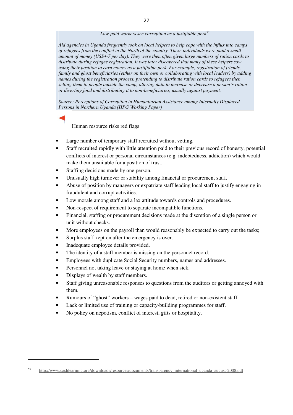#### *Low-paid workers see corruption as a justifiable perk<sup>53</sup>*

*Aid agencies in Uganda frequently took on local helpers to help cope with the influx into camps of refugees from the conflict in the North of the country. These individuals were paid a small amount of money (US\$4-7 per day). They were then often given large numbers of ration cards to distribute during refugee registration. It was later discovered that many of these helpers saw using their position to earn money as a justifiable perk. For example, registration of friends, family and ghost beneficiaries (either on their own or collaborating with local leaders) by adding names during the registration process, pretending to distribute ration cards to refugees then selling them to people outside the camp, altering data to increase or decrease a person's ration or diverting food and distributing it to non-beneficiaries, usually against payment.* 

*Source: Perceptions of Corruption in Humanitarian Assistance among Internally Displaced Persons in Northern Uganda (HPG Working Paper)*

#### Human resource risks red flags

- Large number of temporary staff recruited without vetting.
- Staff recruited rapidly with little attention paid to their previous record of honesty, potential conflicts of interest or personal circumstances (e.g. indebtedness, addiction) which would make them unsuitable for a position of trust.
- Staffing decisions made by one person.
- Unusually high turnover or stability among financial or procurement staff.
- Abuse of position by managers or expatriate staff leading local staff to justify engaging in fraudulent and corrupt activities.
- Low morale among staff and a lax attitude towards controls and procedures.
- Non-respect of requirement to separate incompatible functions.
- Financial, staffing or procurement decisions made at the discretion of a single person or unit without checks.
- More employees on the payroll than would reasonably be expected to carry out the tasks;
- Surplus staff kept on after the emergency is over.
- Inadequate employee details provided.
- The identity of a staff member is missing on the personnel record.
- Employees with duplicate Social Security numbers, names and addresses.
- Personnel not taking leave or staying at home when sick.
- Displays of wealth by staff members.

- Staff giving unreasonable responses to questions from the auditors or getting annoyed with them.
- Rumours of "ghost" workers wages paid to dead, retired or non-existent staff.
- Lack or limited use of training or capacity-building programmes for staff.
- No policy on nepotism, conflict of interest, gifts or hospitality.

<sup>53</sup> http://www.cashlearning.org/downloads/resources/documents/transparency\_international\_uganda\_august-2008.pdf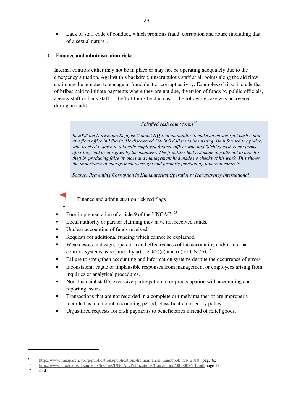• Lack of staff code of conduct, which prohibits fraud, corruption and abuse (including that of a sexual nature).

#### D. **Finance and administration risks**

Internal controls either may not be in place or may not be operating adequately due to the emergency situation. Against this backdrop, unscrupulous staff at all points along the aid flow chain may be tempted to engage in fraudulent or corrupt activity. Examples of risks include that of bribes paid to initiate payments where they are not due, diversion of funds by public officials, agency staff or bank staff or theft of funds held in cash. The following case was uncovered during an audit.

#### *Falsified cash count forms<sup>54</sup>*

*In 2008 the Norwegian Refugee Council HQ sent an auditor to make an on-the-spot cash count at a field office in Liberia. He discovered \$60,000 dollars to be missing. He informed the police, who tracked it down to a locally-employed finance officer who had falsified cash count forms after they had been signed by the manager. The fraudster had not made any attempt to hide his theft by producing false invoices and management had made no checks of his work. This shows the importance of management oversight and properly functioning financial controls.* 

*Source: Preventing Corruption in Humanitarian Operations (Transparency International)* 

Finance and administration risk red flags

•

- Poor implementation of article 9 of the UNCAC.<sup>55</sup>
- Local authority or partner claiming they have not received funds.
- Unclear accounting of funds received.
- Requests for additional funding which cannot be explained.
- Weaknesses in design, operation and effectiveness of the accounting and/or internal controls systems as required by article  $9(2)(c)$  and (d) of UNCAC.<sup>56</sup>
- Failure to strengthen accounting and information systems despite the occurrence of errors.
- Inconsistent, vague or implausible responses from management or employees arising from inquiries or analytical procedures.
- Non-financial staff's excessive participation in or preoccupation with accounting and reporting issues.
- Transactions that are not recorded in a complete or timely manner or are improperly recorded as to amount, accounting period, classification or entity policy.
- Unjustified requests for cash payments to beneficiaries instead of relief goods.

ibid

<sup>&</sup>lt;sup>54</sup> http://www.transparency.org/publications/publications/humanitarian\_handbook\_feb\_2010 page 62<br>55 http://www.transparency.org/publications/publications/humanitarian\_handbook\_feb\_2010\_page 62

<sup>&</sup>lt;sup>55</sup> http://www.unodc.org/documents/treaties/UNCAC/Publications/Convention/08-50026 E.pdf page 12<br>56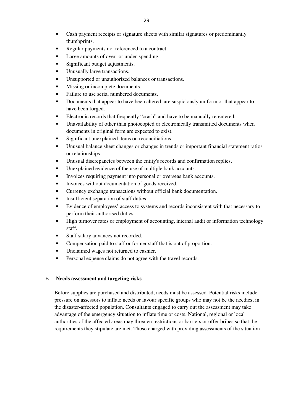- Cash payment receipts or signature sheets with similar signatures or predominantly thumbprints.
- Regular payments not referenced to a contract.
- Large amounts of over- or under-spending.
- Significant budget adjustments.
- Unusually large transactions.
- Unsupported or unauthorized balances or transactions.
- Missing or incomplete documents.
- Failure to use serial numbered documents.
- Documents that appear to have been altered, are suspiciously uniform or that appear to have been forged.
- Electronic records that frequently "crash" and have to be manually re-entered.
- Unavailability of other than photocopied or electronically transmitted documents when documents in original form are expected to exist.
- Significant unexplained items on reconciliations.
- Unusual balance sheet changes or changes in trends or important financial statement ratios or relationships.
- Unusual discrepancies between the entity's records and confirmation replies.
- Unexplained evidence of the use of multiple bank accounts.
- Invoices requiring payment into personal or overseas bank accounts.
- Invoices without documentation of goods received.
- Currency exchange transactions without official bank documentation.
- Insufficient separation of staff duties.
- Evidence of employees' access to systems and records inconsistent with that necessary to perform their authorised duties.
- High turnover rates or employment of accounting, internal audit or information technology staff.
- Staff salary advances not recorded.
- Compensation paid to staff or former staff that is out of proportion.
- Unclaimed wages not returned to cashier.
- Personal expense claims do not agree with the travel records.

#### E. **Needs assessment and targeting risks**

Before supplies are purchased and distributed, needs must be assessed. Potential risks include pressure on assessors to inflate needs or favour specific groups who may not be the neediest in the disaster-affected population. Consultants engaged to carry out the assessment may take advantage of the emergency situation to inflate time or costs. National, regional or local authorities of the affected areas may threaten restrictions or barriers or offer bribes so that the requirements they stipulate are met. Those charged with providing assessments of the situation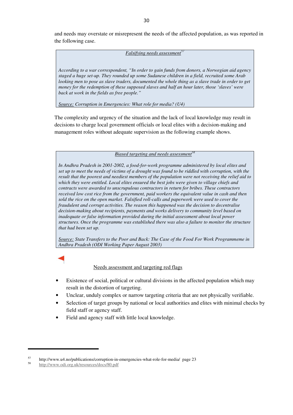and needs may overstate or misrepresent the needs of the affected population, as was reported in the following case.

#### *Falsifying needs assessment<sup>3</sup>*

*According to a war correspondent, "In order to gain funds from donors, a Norwegian aid agency staged a huge set-up. They rounded up some Sudanese children in a field, recruited some Arab*  looking men to pose as slave traders, documented the whole thing as a slave trade in order to get *money for the redemption of these supposed slaves and half an hour later, those 'slaves' were back at work in the fields as free people."*

*Source: Corruption in Emergencies: What role for media? (U4)*

The complexity and urgency of the situation and the lack of local knowledge may result in decisions to charge local government officials or local elites with a decision-making and management roles without adequate supervision as the following example shows.

*Biased targeting and needs assessment<sup>58</sup>*

*In Andhra Pradesh in 2001-2002, a food-for-work programme administered by local elites and set up to meet the needs of victims of a drought was found to be riddled with corruption, with the result that the poorest and neediest members of the population were not receiving the relief aid to which they were entitled. Local elites ensured the best jobs were given to village chiefs and contracts were awarded to unscrupulous contractors in return for bribes. These contractors received low cost rice from the government, paid workers the equivalent value in cash and then sold the rice on the open market. Falsified roll-calls and paperwork were used to cover the fraudulent and corrupt activities. The reason this happened was the decision to decentralise decision-making about recipients, payments and works delivery to community level based on inadequate or false information provided during the initial assessment about local power structures. Once the programme was established there was also a failure to monitor the structure that had been set up.* 

*Source: State Transfers to the Poor and Back: The Case of the Food For Work Programmeme in Andhra Pradesh (ODI Working Paper August 2003)* 

Needs assessment and targeting red flags

- Existence of social, political or cultural divisions in the affected population which may result in the distortion of targeting.
- Unclear, unduly complex or narrow targeting criteria that are not physically verifiable.
- Selection of target groups by national or local authorities and elites with minimal checks by field staff or agency staff.
- Field and agency staff with little local knowledge.

<sup>&</sup>lt;sup>57</sup> http://www.u4.no/publications/corruption-in-emergencies-what-role-for-media/ page 23

<sup>58</sup> http://www.odi.org.uk/resources/docs/80.pdf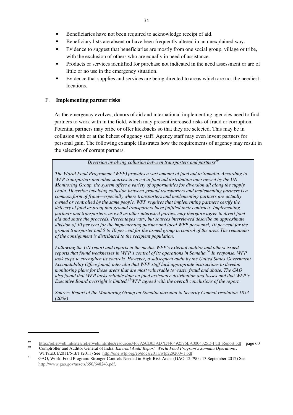- Beneficiaries have not been required to acknowledge receipt of aid.
- Beneficiary lists are absent or have been frequently altered in an unexplained way.
- Evidence to suggest that beneficiaries are mostly from one social group, village or tribe, with the exclusion of others who are equally in need of assistance.
- Products or services identified for purchase not indicated in the need assessment or are of little or no use in the emergency situation.
- Evidence that supplies and services are being directed to areas which are not the neediest locations.

#### F. **Implementing partner risks**

As the emergency evolves, donors of aid and international implementing agencies need to find partners to work with in the field, which may present increased risks of fraud or corruption. Potential partners may bribe or offer kickbacks so that they are selected. This may be in collusion with or at the behest of agency staff. Agency staff may even invent partners for personal gain. The following example illustrates how the requirements of urgency may result in the selection of corrupt partners.

*Diversion involving collusion between transporters and partners<sup>59</sup>*

*The World Food Programme (WFP) provides a vast amount of food aid to Somalia. According to WFP transporters and other sources involved in food aid distribution interviewed by the UN Monitoring Group, the system offers a variety of opportunities for diversion all along the supply chain. Diversion involving collusion between ground transporters and implementing partners is a common form of fraud—especially where transporters and implementing partners are actually owned or controlled by the same people. WFP requires that implementing partners certify the delivery of food as proof that ground transporters have fulfilled their contracts. Implementing partners and transporters, as well as other interested parties, may therefore agree to divert food aid and share the proceeds. Percentages vary, but sources interviewed describe an approximate division of 30 per cent for the implementing partner and local WFP personnel, 10 per cent for the ground transporter and 5 to 10 per cent for the armed group in control of the area. The remainder of the consignment is distributed to the recipient population.*

*Following the UN report and reports in the media, WFP's external auditor and others issued reports that found weaknesses in WFP's control of its operations in Somalia.<sup>60</sup> In response, WFP took steps to strengthen its controls. However, a subsequent audit by the United States Government Accountability Office found, inter alia that WFP staff lack appropriate instructions to develop monitoring plans for those areas that are most vulnerable to waste, fraud and abuse. The GAO also found that WFP lacks reliable data on food assistance distribution and losses and that WFP's Executive Board oversight is limited.<sup>61</sup>WFP agreed with the overall conclusions of the report.* 

*Source: Report of the Monitoring Group on Somalia pursuant to Security Council resolution 1853 (2008)*

<sup>&</sup>lt;sup>59</sup> http://reliefweb.int/sites/reliefweb.int/files/resources/467A5CB05AD7E446492576EA0004325D-Full\_Report.pdf page 60 <sup>60</sup> Comptroller and Auditor General of India, *External Audit Report: World Food Program's Somalia Operations*, WFP/EB.1/2011/5-B/1 (2011) See http://one.wfp.org/eb/docs/2011/wfp229200~1.pdf

<sup>61</sup> GAO, World Food Program: Stronger Controls Needed in High-Risk Areas (GAO-12-790 : 13 September 2012) See http://www.gao.gov/assets/650/648243.pdf.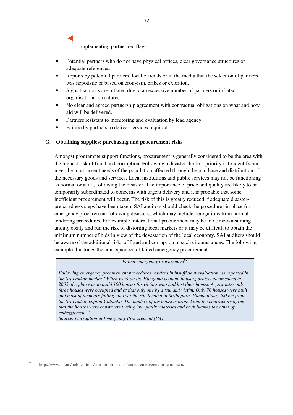Implementing partner red flags

- Potential partners who do not have physical offices, clear governance structures or adequate references.
- Reports by potential partners, local officials or in the media that the selection of partners was nepotistic or based on cronyism, bribes or extortion.
- Signs that costs are inflated due to an excessive number of partners or inflated organisational structures.
- No clear and agreed partnership agreement with contractual obligations on what and how aid will be delivered.
- Partners resistant to monitoring and evaluation by lead agency.
- Failure by partners to deliver services required.

#### G. **Obtaining supplies: purchasing and procurement risks**

Amongst programme support functions, procurement is generally considered to be the area with the highest risk of fraud and corruption. Following a disaster the first priority is to identify and meet the most urgent needs of the population affected through the purchase and distribution of the necessary goods and services. Local institutions and public services may not be functioning as normal or at all, following the disaster. The importance of price and quality are likely to be temporarily subordinated to concerns with urgent delivery and it is probable that some inefficient procurement will occur. The risk of this is greatly reduced if adequate disasterpreparedness steps have been taken. SAI auditors should check the procedures in place for emergency procurement following disasters, which may include derogations from normal tendering procedures. For example, international procurement may be too time-consuming, unduly costly and run the risk of distorting local markets or it may be difficult to obtain the minimum number of bids in view of the devastation of the local economy. SAI auditors should be aware of the additional risks of fraud and corruption in such circumstances. The following example illustrates the consequences of failed emergency procurement.

#### *Failed emergency procurement<sup>62</sup>*

*Following emergency procurement procedures resulted in insufficient evaluation, as reported in the Sri Lankan media: "When work on the Hungama tsunami housing project commenced in 2005, the plan was to build 100 houses for victims who had lost their homes. A year later only three houses were occupied and of that only one by a tsunami victim. Only 70 houses were built and most of them are falling apart at the site located in Siribopura, Hambantota, 260 km from the Sri Lankan capital Colombo. The funders of the massive project and the contractors agree that the houses were constructed using low quality material and each blames the other of embezzlement."*

*Source: Corruption in Emergency Procurement (U4)*

<sup>62</sup> http://www.u4.no/publications/corruption-in-aid-funded-emergency-procurement/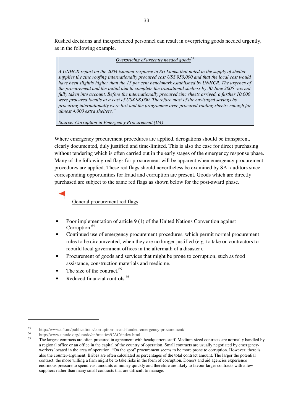Rushed decisions and inexperienced personnel can result in overpricing goods needed urgently, as in the following example.

#### *Overpricing of urgently needed goods<sup>63</sup>*

*A UNHCR report on the 2004 tsunami response in Sri Lanka that noted in the supply of shelter supplies the zinc roofing internationally procured cost US\$ 950,000 and that the local cost would*  have been slightly higher than the 15 per cent benchmark established by UNHCR. The urgency of *the procurement and the initial aim to complete the transitional shelters by 30 June 2005 was not fully taken into account. Before the internationally procured zinc sheets arrived, a further 10,000 were procured locally at a cost of US\$ 98,000. Therefore most of the envisaged savings by procuring internationally were lost and the programme over-procured roofing sheets: enough for almost 4,000 extra shelters."* 

*Source: Corruption in Emergency Procurement (U4)*

Where emergency procurement procedures are applied, derogations should be transparent, clearly documented, duly justified and time-limited. This is also the case for direct purchasing without tendering which is often carried out in the early stages of the emergency response phase. Many of the following red flags for procurement will be apparent when emergency procurement procedures are applied. These red flags should nevertheless be examined by SAI auditors since corresponding opportunities for fraud and corruption are present. Goods which are directly purchased are subject to the same red flags as shown below for the post-award phase.

General procurement red flags

- Poor implementation of article 9 (1) of the United Nations Convention against Corruption.<sup>64</sup>
- Continued use of emergency procurement procedures, which permit normal procurement rules to be circumvented, when they are no longer justified (e.g. to take on contractors to rebuild local government offices in the aftermath of a disaster).
- Procurement of goods and services that might be prone to corruption, such as food assistance, construction materials and medicine.
- The size of the contract. $65$
- Reduced financial controls.<sup>66</sup>

  $h_{\text{t}}$  http://www.u4.no/publications/corruption-in-aid-funded-emergency-procurement/<br> $h_{\text{t}}$ 

<sup>&</sup>lt;sup>64</sup> http://www.unodc.org/unodc/en/treaties/CAC/index.html

The largest contracts are often procured in agreement with headquarters staff. Medium-sized contracts are normally handled by a regional office or an office in the capital of the country of operation. Small contracts are usually negotiated by emergencyworkers located in the area of operation. "On the spot" procurement seems to be more prone to corruption. However, there is also the counter-argument: Bribes are often calculated as percentages of the total contract amount. The larger the potential contract, the more willing a firm might be to take risks in the form of corruption. Donors and aid agencies experience enormous pressure to spend vast amounts of money quickly and therefore are likely to favour larger contracts with a few suppliers rather than many small contracts that are difficult to manage.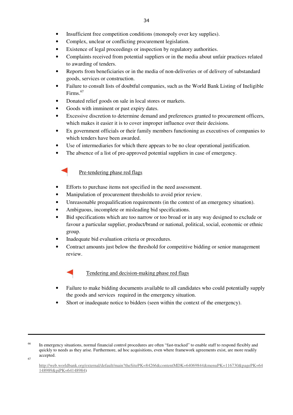- Insufficient free competition conditions (monopoly over key supplies).
- Complex, unclear or conflicting procurement legislation.
- Existence of legal proceedings or inspection by regulatory authorities.
- Complaints received from potential suppliers or in the media about unfair practices related to awarding of tenders.
- Reports from beneficiaries or in the media of non-deliveries or of delivery of substandard goods, services or construction.
- Failure to consult lists of doubtful companies, such as the World Bank Listing of Ineligible Firms.<sup>67</sup>
- Donated relief goods on sale in local stores or markets.
- Goods with imminent or past expiry dates.
- Excessive discretion to determine demand and preferences granted to procurement officers, which makes it easier it is to cover improper influence over their decisions.
- Ex government officials or their family members functioning as executives of companies to which tenders have been awarded.
- Use of intermediaries for which there appears to be no clear operational justification.
- The absence of a list of pre-approved potential suppliers in case of emergency.

### Pre-tendering phase red flags

- Efforts to purchase items not specified in the need assessment.
- Manipulation of procurement thresholds to avoid prior review.
- Unreasonable prequalification requirements (in the context of an emergency situation).
- Ambiguous, incomplete or misleading bid specifications.
- Bid specifications which are too narrow or too broad or in any way designed to exclude or favour a particular supplier, product/brand or national, political, social, economic or ethnic group.
- Inadequate bid evaluation criteria or procedures.
- Contract amounts just below the threshold for competitive bidding or senior management review.



Tendering and decision-making phase red flags

- Failure to make bidding documents available to all candidates who could potentially supply the goods and services required in the emergency situation.
- Short or inadequate notice to bidders (seen within the context of the emergency).

 <sup>66</sup> In emergency situations, normal financial control procedures are often "fast-tracked" to enable staff to respond flexibly and quickly to needs as they arise. Furthermore, ad hoc acquisitions, even where framework agreements exist, are more readily accepted.

<sup>67</sup>

http://web.worldbank.org/external/default/main?theSitePK=84266&contentMDK=64069844&menuPK=116730&pagePK=64 148989&piPK=64148984)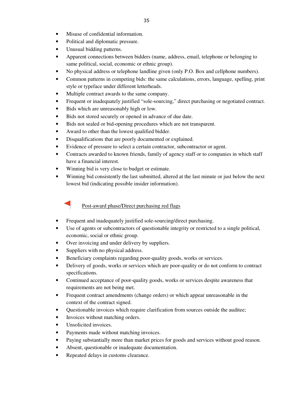- Political and diplomatic pressure.
- Unusual bidding patterns.
- Apparent connections between bidders (name, address, email, telephone or belonging to same political, social, economic or ethnic group).
- No physical address or telephone landline given (only P.O. Box and cellphone numbers).
- Common patterns in competing bids: the same calculations, errors, language, spelling, print style or typeface under different letterheads.
- Multiple contract awards to the same company.
- Frequent or inadequately justified "sole-sourcing," direct purchasing or negotiated contract.
- Bids which are unreasonably high or low.
- Bids not stored securely or opened in advance of due date.
- Bids not sealed or bid-opening procedures which are not transparent.
- Award to other than the lowest qualified bidder.
- Disqualifications that are poorly documented or explained.
- Evidence of pressure to select a certain contractor, subcontractor or agent.
- Contracts awarded to known friends, family of agency staff or to companies in which staff have a financial interest.
- Winning bid is very close to budget or estimate.
- Winning bid consistently the last submitted, altered at the last minute or just below the next lowest bid (indicating possible insider information).



- Frequent and inadequately justified sole-sourcing/direct purchasing.
- Use of agents or subcontractors of questionable integrity or restricted to a single political, economic, social or ethnic group.
- Over invoicing and under delivery by suppliers.
- Suppliers with no physical address.
- Beneficiary complaints regarding poor-quality goods, works or services.
- Delivery of goods, works or services which are poor-quality or do not conform to contract specifications.
- Continued acceptance of poor-quality goods, works or services despite awareness that requirements are not being met.
- Frequent contract amendments (change orders) or which appear unreasonable in the context of the contract signed.
- Questionable invoices which require clarification from sources outside the auditee;
- Invoices without matching orders.
- Unsolicited invoices.
- Payments made without matching invoices.
- Paying substantially more than market prices for goods and services without good reason.
- Absent, questionable or inadequate documentation.
- Repeated delays in customs clearance.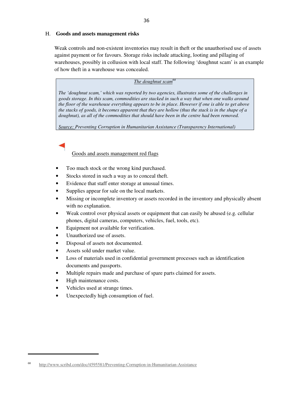#### H. **Goods and assets management risks**

Weak controls and non-existent inventories may result in theft or the unauthorised use of assets against payment or for favours. Storage risks include attacking, looting and pillaging of warehouses, possibly in collusion with local staff. The following 'doughnut scam' is an example of how theft in a warehouse was concealed.

#### *The doughnut scam<sup>68</sup>*

*The 'doughnut scam,' which was reported by two agencies, illustrates some of the challenges in goods storage. In this scam, commodities are stacked in such a way that when one walks around the floor of the warehouse everything appears to be in place. However if one is able to get above the stacks of goods, it becomes apparent that they are hollow (thus the stack is in the shape of a doughnut), as all of the commodities that should have been in the centre had been removed.* 

*Source: Preventing Corruption in Humanitarian Assistance (Transparency International)*

### Goods and assets management red flags

- Too much stock or the wrong kind purchased.
- Stocks stored in such a way as to conceal theft.
- Evidence that staff enter storage at unusual times.
- Supplies appear for sale on the local markets.
- Missing or incomplete inventory or assets recorded in the inventory and physically absent with no explanation.
- Weak control over physical assets or equipment that can easily be abused (e.g. cellular phones, digital cameras, computers, vehicles, fuel, tools, etc).
- Equipment not available for verification.
- Unauthorized use of assets.
- Disposal of assets not documented.
- Assets sold under market value.
- Loss of materials used in confidential government processes such as identification documents and passports.
- Multiple repairs made and purchase of spare parts claimed for assets.
- High maintenance costs.

- Vehicles used at strange times.
- Unexpectedly high consumption of fuel.

<sup>68</sup> http://www.scribd.com/doc/4595581/Preventing-Corruption-in-Humanitarian-Assistance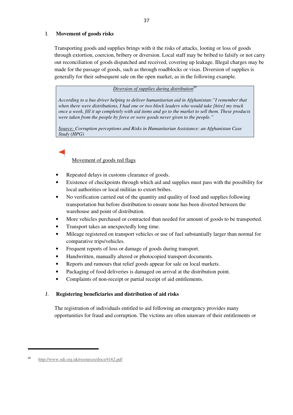#### I. **Movement of goods risks**

Transporting goods and supplies brings with it the risks of attacks, looting or loss of goods through extortion, coercion, bribery or diversion. Local staff may be bribed to falsify or not carry out reconciliation of goods dispatched and received, covering up leakage. Illegal charges may be made for the passage of goods, such as through roadblocks or visas. Diversion of supplies is generally for their subsequent sale on the open market, as in the following example.

#### *Diversion of supplies during distribution<sup>69</sup>*

*According to a bus driver helping to deliver humanitarian aid in Afghanistan:"I remember that when there were distributions, I had one or two block leaders who would take [hire] my truck once a week, fill it up completely with aid items and go to the market to sell them. These products were taken from the people by force or were goods never given to the people."* 

*Source: Corruption perceptions and Risks in Humanitarian Assistance: an Afghanistan Case Study (HPG)* 

### Movement of goods red flags

- Repeated delays in customs clearance of goods.
- Existence of checkpoints through which aid and supplies must pass with the possibility for local authorities or local militias to extort bribes.
- No verification carried out of the quantity and quality of food and supplies following transportation but before distribution to ensure none has been diverted between the warehouse and point of distribution.
- More vehicles purchased or contracted than needed for amount of goods to be transported.
- Transport takes an unexpectedly long time.
- Mileage registered on transport vehicles or use of fuel substantially larger than normal for comparative trips/vehicles.
- Frequent reports of loss or damage of goods during transport.
- Handwritten, manually altered or photocopied transport documents.
- Reports and rumours that relief goods appear for sale on local markets.
- Packaging of food deliveries is damaged on arrival at the distribution point.
- Complaints of non-receipt or partial receipt of aid entitlements.

#### J. **Registering beneficiaries and distribution of aid risks**

The registration of individuals entitled to aid following an emergency provides many opportunities for fraud and corruption. The victims are often unaware of their entitlements or

 <sup>69</sup> http://www.odi.org.uk/resources/docs/4162.pdf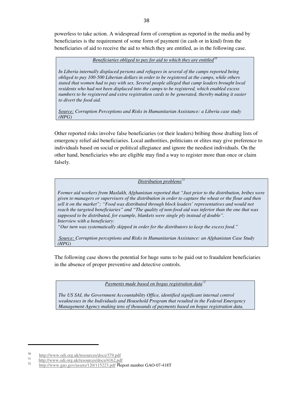powerless to take action. A widespread form of corruption as reported in the media and by beneficiaries is the requirement of some form of payment (in cash or in kind) from the beneficiaries of aid to receive the aid to which they are entitled, as in the following case.

#### *Beneficiaries obliged to pay for aid to which they are entitled<sup>70</sup>*

*In Liberia internally displaced persons and refugees in several of the camps reported being obliged to pay 100-500 Liberian dollars in order to be registered at the camps, while others stated that women had to pay with sex. Several people alleged that camp leaders brought local residents who had not been displaced into the camps to be registered, which enabled excess numbers to be registered and extra registration cards to be generated, thereby making it easier to divert the food aid.* 

*Source: Corruption Perceptions and Risks in Humanitarian Assistance: a Liberia case study (HPG)*

Other reported risks involve false beneficiaries (or their leaders) bribing those drafting lists of emergency relief aid beneficiaries. Local authorities, politicians or elites may give preference to individuals based on social or political allegiance and ignore the neediest individuals. On the other hand, beneficiaries who are eligible may find a way to register more than once or claim falsely.

#### *Distribution problems<sup>71</sup>*

*Former aid workers from Maslakh, Afghanistan reported that "Just prior to the distribution, bribes were given to managers or supervisors of the distribution in order to capture the wheat or the flour and then sell it on the market"; "Food was distributed through block leaders' representatives and would not reach the targeted beneficiaries" and "The quality of non-food aid was inferior than the one that was supposed to be distributed, for example, blankets were single ply instead of double". Interview with a beneficiary:* 

*"Our turn was systematically skipped in order for the distributors to keep the excess food."* 

 *Source: Corruption perceptions and Risks in Humanitarian Assistance: an Afghanistan Case Study (HPG)*

The following case shows the potential for huge sums to be paid out to fraudulent beneficiaries in the absence of proper preventive and detective controls.

*Payments made based on bogus registration data<sup>72</sup>*

*The US SAI, the Government Accountability Office, identified significant internal control weaknesses in the Individuals and Household Program that resulted in the Federal Emergency Management Agency making tens of thousands of payments based on bogus registration data.* 

<sup>70</sup> http://www.odi.org.uk/resources/docs/379.pdf 71

 $\frac{h_{\text{t}}}{2}$  http://www.odi.org.uk/resources/docs/4162.pdf<br> $\frac{h_{\text{t}}}{2}$ 

http://www.gao.gov/assets/120/115223.pdf Report number GAO-07-418T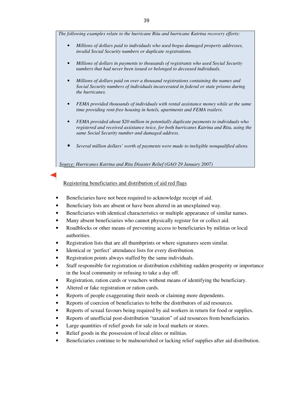*The following examples relate to the hurricane Rita and hurricane Katrina recovery efforts:* 

- *Millions of dollars paid to individuals who used bogus damaged property addresses, invalid Social Security numbers or duplicate registrations.*
- *Millions of dollars in payments to thousands of registrants who used Social Security numbers that had never been issued or belonged to deceased individuals.*
- *Millions of dollars paid on over a thousand registrations containing the names and Social Security numbers of individuals incarcerated in federal or state prisons during the hurricanes.*
- *FEMA provided thousands of individuals with rental assistance money while at the same time providing rent-free housing in hotels, apartments and FEMA trailers.*
- *FEMA provided about \$20 million in potentially duplicate payments to individuals who registered and received assistance twice, for both hurricanes Katrina and Rita, using the same Social Security number and damaged address.*
- *Several million dollars' worth of payments were made to ineligible nonqualified aliens.*

*Source: Hurricanes Katrina and Rita Disaster Relief (GAO 29 January 2007)*

Registering beneficiaries and distribution of aid red flags

- Beneficiaries have not been required to acknowledge receipt of aid.
- Beneficiary lists are absent or have been altered in an unexplained way.
- Beneficiaries with identical characteristics or multiple appearance of similar names.
- Many absent beneficiaries who cannot physically register for or collect aid.
- Roadblocks or other means of preventing access to beneficiaries by militias or local authorities.
- Registration lists that are all thumbprints or where signatures seem similar.
- Identical or 'perfect' attendance lists for every distribution.
- Registration points always staffed by the same individuals.
- Staff responsible for registration or distribution exhibiting sudden prosperity or importance in the local community or refusing to take a day off.
- Registration, ration cards or vouchers without means of identifying the beneficiary.
- Altered or fake registration or ration cards.
- Reports of people exaggerating their needs or claiming more dependents.
- Reports of coercion of beneficiaries to bribe the distributors of aid resources.
- Reports of sexual favours being required by aid workers in return for food or supplies.
- Reports of unofficial post-distribution "taxation" of aid resources from beneficiaries.
- Large quantities of relief goods for sale in local markets or stores.
- Relief goods in the possession of local elites or militias.
- Beneficiaries continue to be malnourished or lacking relief supplies after aid distribution.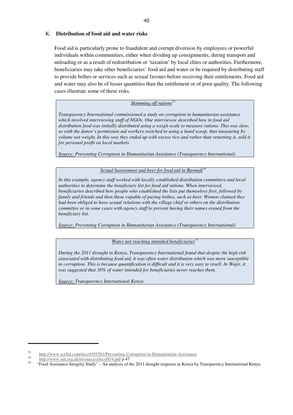#### K. **Distribution of food aid and water risks**

Food aid is particularly prone to fraudulent and corrupt diversion by employees or powerful individuals within communities, either when dividing up consignments, during transport and unloading or as a result of redistribution or 'taxation' by local elites or authorities. Furthermore, beneficiaries may take other beneficiaries' food aid and water or be required by distributing staff to provide bribes or services such as sexual favours before receiving their entitlements. Food aid and water may also be of lesser quantities than the entitlement or of poor quality. The following cases illustrate some of these risks.

#### *Skimming off rations<sup>73</sup>*

*Transparency International commissioned a study on corruption in humanitarian assistance which involved interviewing staff of NGOs. One interviewee described how in food aid distribution food was initially distributed using a weigh-scale to measure rations. This was slow, so with the donor's permission aid workers switched to using a hand scoop, thus measuring by volume not weight. In this way they ended up with excess rice and rather than returning it, sold it for personal profit on local markets.* 

*Source: Preventing Corruption in Humanitarian Assistance (Transparency International)*

#### *Sexual harassment and beer for food aid in Burundi<sup>7</sup>*

*In this example, agency staff worked with locally established distribution committees and local authorities to determine the beneficiary list for food aid rations. When interviewed, beneficiaries described how people who established the lists put themselves first, followed by family and friends and then those capable of paying bribes, such as beer. Women claimed they had been obliged to have sexual relations with the village chief or others on the distribution committee or in some cases with agency staff to prevent having their names erased from the beneficiary list.* 

*Source: Preventing Corruption in Humanitarian Assistance (Transparency International)* 

#### *Water not reaching intended beneficiaries<sup>75</sup>*

*During the 2011 drought in Kenya, Transparency International found that despite the high risk associated with distributing food aid, it was often water distribution which was more susceptible to corruption. This is because quantification is difficult and it is very easy to resell. In Wajir, it was suggested that 30% of water intended for beneficiaries never reaches them.*

*Source: Transparency International Kenya* 

<sup>73</sup> http://www.scribd.com/doc/4595581/Preventing-Corruption-in-Humanitarian-Assistance

<sup>74</sup> http://www.odi.org.uk/resources/docs/874.pdf p 47

<sup>75</sup> "Food Assistance Integrity Study" – An analysis of the 2011 drought response in Kenya by Transparency International Kenya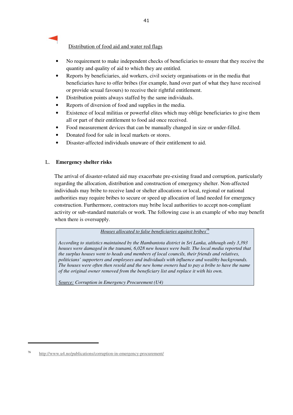Distribution of food aid and water red flags

- No requirement to make independent checks of beneficiaries to ensure that they receive the quantity and quality of aid to which they are entitled.
- Reports by beneficiaries, aid workers, civil society organisations or in the media that beneficiaries have to offer bribes (for example, hand over part of what they have received or provide sexual favours) to receive their rightful entitlement.
- Distribution points always staffed by the same individuals.
- Reports of diversion of food and supplies in the media.
- Existence of local militias or powerful elites which may oblige beneficiaries to give them all or part of their entitlement to food aid once received.
- Food measurement devices that can be manually changed in size or under-filled.
- Donated food for sale in local markets or stores.
- Disaster-affected individuals unaware of their entitlement to aid.

#### L. **Emergency shelter risks**

The arrival of disaster-related aid may exacerbate pre-existing fraud and corruption, particularly regarding the allocation, distribution and construction of emergency shelter. Non-affected individuals may bribe to receive land or shelter allocations or local, regional or national authorities may require bribes to secure or speed up allocation of land needed for emergency construction. Furthermore, contractors may bribe local authorities to accept non-compliant activity or sub-standard materials or work. The following case is an example of who may benefit when there is oversupply.

*Houses allocated to false beneficiaries against bribes<sup>76</sup>*

*According to statistics maintained by the Hambantota district in Sri Lanka, although only 3,393 houses were damaged in the tsunami, 6,028 new houses were built. The local media reported that the surplus houses went to heads and members of local councils, their friends and relatives, politicians' supporters and employees and individuals with influence and wealthy backgrounds. The houses were often then resold and the new home owners had to pay a bribe to have the name of the original owner removed from the beneficiary list and replace it with his own.* 

*Source: Corruption in Emergency Procurement (U4)* 

 <sup>76</sup> http://www.u4.no/publications/corruption-in-emergency-procurement/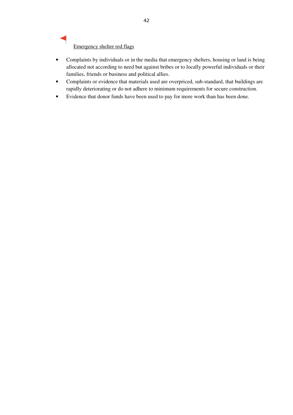## Emergency shelter red flags

- Complaints by individuals or in the media that emergency shelters, housing or land is being allocated not according to need but against bribes or to locally powerful individuals or their families, friends or business and political allies.
- Complaints or evidence that materials used are overpriced, sub-standard, that buildings are rapidly deteriorating or do not adhere to minimum requirements for secure construction.
- Evidence that donor funds have been used to pay for more work than has been done.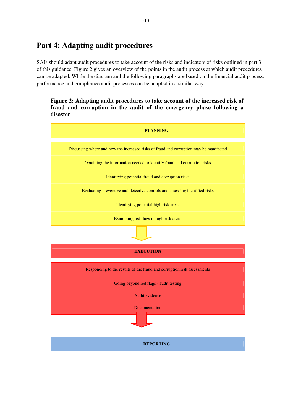## **Part 4: Adapting audit procedures**

SAIs should adapt audit procedures to take account of the risks and indicators of risks outlined in part 3 of this guidance. Figure 2 gives an overview of the points in the audit process at which audit procedures can be adapted. While the diagram and the following paragraphs are based on the financial audit process, performance and compliance audit processes can be adapted in a similar way.

**Figure 2: Adapting audit procedures to take account of the increased risk of fraud and corruption in the audit of the emergency phase following a disaster**

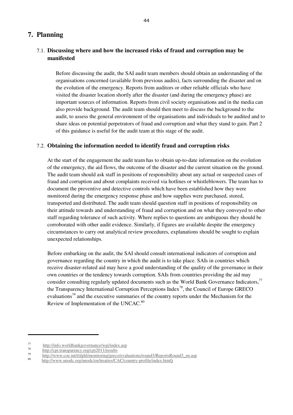### **7. Planning**

### 7.1. **Discussing where and how the increased risks of fraud and corruption may be manifested**

Before discussing the audit, the SAI audit team members should obtain an understanding of the organisations concerned (available from previous audits), facts surrounding the disaster and on the evolution of the emergency. Reports from auditors or other reliable officials who have visited the disaster location shortly after the disaster (and during the emergency phase) are important sources of information. Reports from civil society organisations and in the media can also provide background. The audit team should then meet to discuss the background to the audit, to assess the general environment of the organisations and individuals to be audited and to share ideas on potential perpetrators of fraud and corruption and what they stand to gain. Part 2 of this guidance is useful for the audit team at this stage of the audit.

### 7.2. **Obtaining the information needed to identify fraud and corruption risks**

At the start of the engagement the audit team has to obtain up-to-date information on the evolution of the emergency, the aid flows, the outcome of the disaster and the current situation on the ground. The audit team should ask staff in positions of responsibility about any actual or suspected cases of fraud and corruption and about complaints received via hotlines or whistleblowers. The team has to document the preventive and detective controls which have been established how they were monitored during the emergency response phase and how supplies were purchased, stored, transported and distributed. The audit team should question staff in positions of responsibility on their attitude towards and understanding of fraud and corruption and on what they conveyed to other staff regarding tolerance of such activity. Where replies to questions are ambiguous they should be corroborated with other audit evidence. Similarly, if figures are available despite the emergency circumstances to carry out analytical review procedures, explanations should be sought to explain unexpected relationships.

Before embarking on the audit, the SAI should consult international indicators of corruption and governance regarding the country in which the audit is to take place. SAIs in countries which receive disaster-related aid may have a good understanding of the quality of the governance in their own countries or the tendency towards corruption. SAIs from countries providing the aid may consider consulting regularly updated documents such as the World Bank Governance Indicators,<sup>77</sup> the Transparency International Corruption Perceptions Index<sup>78</sup>, the Council of Europe GRECO evaluations<sup>79</sup> and the executive summaries of the country reports under the Mechanism for the Review of Implementation of the UNCAC.<sup>80</sup>

 77 http://info.worldbankgovernance/wgi/index.asp

<sup>78</sup> http://cpi.transparency.org/cpi2011/results

<sup>79</sup>  $\frac{\text{http://www.coe.int/t/dghl/montoring/greco/evaluation/s/round3/ReportsRound3}}{\text{http://www.coe.int/t/dghl/montotoring/greco/evaluation/s/round3/ReportsRound3}}$ 

<sup>80</sup> http://www.unodc.org/unodc/en/treaties/CAC/country-profile/index.html)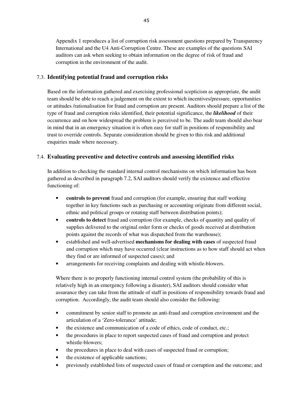Appendix 1 reproduces a list of corruption risk assessment questions prepared by Transparency International and the U4 Anti-Corruption Centre. These are examples of the questions SAI auditors can ask when seeking to obtain information on the degree of risk of fraud and corruption in the environment of the audit.

#### 7.3. **Identifying potential fraud and corruption risks**

Based on the information gathered and exercising professional scepticism as appropriate, the audit team should be able to reach a judgement on the extent to which incentives/pressure, opportunities or attitudes /rationalisation for fraud and corruption are present. Auditors should prepare a list of the type of fraud and corruption risks identified, their potential significance, the *likelihood* of their occurrence and on how widespread the problem is perceived to be. The audit team should also bear in mind that in an emergency situation it is often easy for staff in positions of responsibility and trust to override controls. Separate consideration should be given to this risk and additional enquiries made where necessary.

### 7.4. **Evaluating preventive and detective controls and assessing identified risks**

In addition to checking the standard internal control mechanisms on which information has been gathered as described in paragraph 7.2, SAI auditors should verify the existence and effective functioning of:

- **controls to prevent** fraud and corruption (for example, ensuring that staff working together in key functions such as purchasing or accounting originate from different social, ethnic and political groups or rotating staff between distribution points);
- **controls to detect** fraud and corruption (for example, checks of quantity and quality of supplies delivered to the original order form or checks of goods received at distribution points against the records of what was dispatched from the warehouse);
- established and well-advertised **mechanisms for dealing with cases** of suspected fraud and corruption which may have occurred (clear instructions as to how staff should act when they find or are informed of suspected cases); and
- arrangements for receiving complaints and dealing with whistle-blowers.

Where there is no properly functioning internal control system (the probability of this is relatively high in an emergency following a disaster), SAI auditors should consider what assurance they can take from the attitude of staff in positions of responsibility towards fraud and corruption. Accordingly, the audit team should also consider the following:

- commitment by senior staff to promote an anti-fraud and corruption environment and the articulation of a 'Zero-tolerance' attitude;
- the existence and communication of a code of ethics, code of conduct, etc.;
- the procedures in place to report suspected cases of fraud and corruption and protect whistle-blowers;
- the procedures in place to deal with cases of suspected fraud or corruption;
- the existence of applicable sanctions;
- previously established lists of suspected cases of fraud or corruption and the outcome; and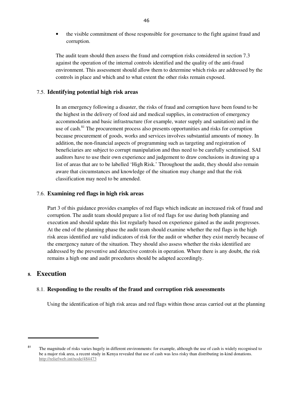• the visible commitment of those responsible for governance to the fight against fraud and corruption.

The audit team should then assess the fraud and corruption risks considered in section 7.3 against the operation of the internal controls identified and the quality of the anti-fraud environment. This assessment should allow them to determine which risks are addressed by the controls in place and which and to what extent the other risks remain exposed.

### 7.5. **Identifying potential high risk areas**

In an emergency following a disaster, the risks of fraud and corruption have been found to be the highest in the delivery of food aid and medical supplies, in construction of emergency accommodation and basic infrastructure (for example, water supply and sanitation) and in the use of cash.<sup>81</sup> The procurement process also presents opportunities and risks for corruption because procurement of goods, works and services involves substantial amounts of money. In addition, the non-financial aspects of programming such as targeting and registration of beneficiaries are subject to corrupt manipulation and thus need to be carefully scrutinised. SAI auditors have to use their own experience and judgement to draw conclusions in drawing up a list of areas that are to be labelled 'High Risk.' Throughout the audit, they should also remain aware that circumstances and knowledge of the situation may change and that the risk classification may need to be amended.

#### 7.6. **Examining red flags in high risk areas**

Part 3 of this guidance provides examples of red flags which indicate an increased risk of fraud and corruption. The audit team should prepare a list of red flags for use during both planning and execution and should update this list regularly based on experience gained as the audit progresses. At the end of the planning phase the audit team should examine whether the red flags in the high risk areas identified are valid indicators of risk for the audit or whether they exist merely because of the emergency nature of the situation. They should also assess whether the risks identified are addressed by the preventive and detective controls in operation. Where there is any doubt, the risk remains a high one and audit procedures should be adapted accordingly.

### **8. Execution**

#### 8.1. **Responding to the results of the fraud and corruption risk assessments**

Using the identification of high risk areas and red flags within those areas carried out at the planning

 <sup>81</sup> The magnitude of risks varies hugely in different environments: for example, although the use of cash is widely recognised to be a major risk area, a recent study in Kenya revealed that use of cash was less risky than distributing in-kind donations. http://reliefweb.int/node/484473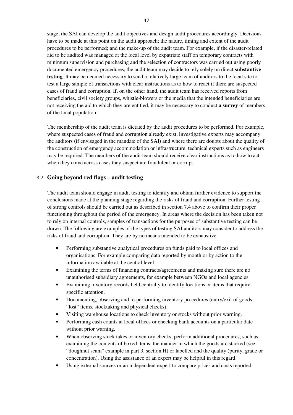stage, the SAI can develop the audit objectives and design audit procedures accordingly. Decisions have to be made at this point on the audit approach; the nature, timing and extent of the audit procedures to be performed; and the make-up of the audit team. For example, if the disaster-related aid to be audited was managed at the local level by expatriate staff on temporary contracts with minimum supervision and purchasing and the selection of contractors was carried out using poorly documented emergency procedures, the audit team may decide to rely solely on direct **substantive testing**. It may be deemed necessary to send a relatively large team of auditors to the local site to test a large sample of transactions with clear instructions as to how to react if there are suspected cases of fraud and corruption. If, on the other hand, the audit team has received reports from beneficiaries, civil society groups, whistle-blowers or the media that the intended beneficiaries are not receiving the aid to which they are entitled, it may be necessary to conduct **a survey** of members of the local population.

The membership of the audit team is dictated by the audit procedures to be performed. For example, where suspected cases of fraud and corruption already exist, investigative experts may accompany the auditors (if envisaged in the mandate of the SAI) and where there are doubts about the quality of the construction of emergency accommodation or infrastructure, technical experts such as engineers may be required. The members of the audit team should receive clear instructions as to how to act when they come across cases they suspect are fraudulent or corrupt.

#### 8.2. **Going beyond red flags – audit testing**

The audit team should engage in audit testing to identify and obtain further evidence to support the conclusions made at the planning stage regarding the risks of fraud and corruption. Further testing of strong controls should be carried out as described in section 7.4 above to confirm their proper functioning throughout the period of the emergency. In areas where the decision has been taken not to rely on internal controls, samples of transactions for the purposes of substantive testing can be drawn. The following are examples of the types of testing SAI auditors may consider to address the risks of fraud and corruption. They are by no means intended to be exhaustive.

- Performing substantive analytical procedures on funds paid to local offices and organisations. For example comparing data reported by month or by action to the information available at the central level.
- Examining the terms of financing contracts/agreements and making sure there are no unauthorised subsidiary agreements, for example between NGOs and local agencies.
- Examining inventory records held centrally to identify locations or items that require specific attention.
- Documenting, observing and re-performing inventory procedures (entry/exit of goods, "lost" items, stocktaking and physical checks).
- Visiting warehouse locations to check inventory or stocks without prior warning.
- Performing cash counts at local offices or checking bank accounts on a particular date without prior warning.
- When observing stock takes or inventory checks, perform additional procedures, such as examining the contents of boxed items, the manner in which the goods are stacked (see "doughnut scam" example in part 3, section H) or labelled and the quality (purity, grade or concentration). Using the assistance of an expert may be helpful in this regard.
- Using external sources or an independent expert to compare prices and costs reported.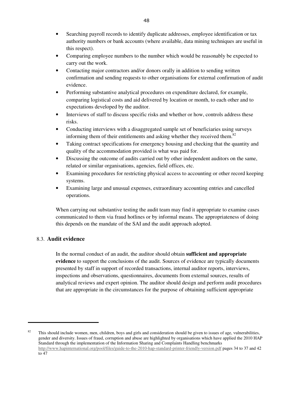- Searching payroll records to identify duplicate addresses, employee identification or tax authority numbers or bank accounts (where available, data mining techniques are useful in this respect).
- Comparing employee numbers to the number which would be reasonably be expected to carry out the work.
- Contacting major contractors and/or donors orally in addition to sending written confirmation and sending requests to other organisations for external confirmation of audit evidence.
- Performing substantive analytical procedures on expenditure declared, for example, comparing logistical costs and aid delivered by location or month, to each other and to expectations developed by the auditor.
- Interviews of staff to discuss specific risks and whether or how, controls address these risks.
- Conducting interviews with a disaggregated sample set of beneficiaries using surveys informing them of their entitlements and asking whether they received them.<sup>82</sup>
- Taking contract specifications for emergency housing and checking that the quantity and quality of the accommodation provided is what was paid for.
- Discussing the outcome of audits carried out by other independent auditors on the same, related or similar organisations, agencies, field offices, etc.
- Examining procedures for restricting physical access to accounting or other record keeping systems.
- Examining large and unusual expenses, extraordinary accounting entries and cancelled operations.

When carrying out substantive testing the audit team may find it appropriate to examine cases communicated to them via fraud hotlines or by informal means. The appropriateness of doing this depends on the mandate of the SAI and the audit approach adopted.

### 8.3. **Audit evidence**

In the normal conduct of an audit, the auditor should obtain **sufficient and appropriate evidence** to support the conclusions of the audit. Sources of evidence are typically documents presented by staff in support of recorded transactions, internal auditor reports, interviews, inspections and observations, questionnaires, documents from external sources, results of analytical reviews and expert opinion. The auditor should design and perform audit procedures that are appropriate in the circumstances for the purpose of obtaining sufficient appropriate

 <sup>82</sup> This should include women, men, children, boys and girls and consideration should be given to issues of age, vulnerabilities, gender and diversity. Issues of fraud, corruption and abuse are highlighted by organisations which have applied the 2010 HAP Standard through the implementation of the Information Sharing and Complaints Handling benchmarks http://www.hapinternational.org/pool/files/guide-to-the-2010-hap-standard-printer-friendly-version.pdf pages 34 to 37 and 42  $\frac{1}{1047}$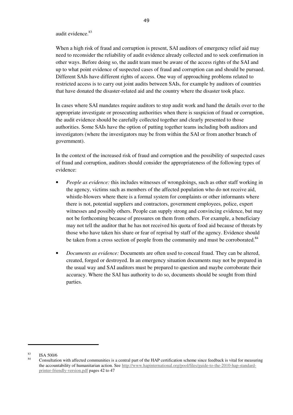#### audit evidence.<sup>83</sup>

When a high risk of fraud and corruption is present, SAI auditors of emergency relief aid may need to reconsider the reliability of audit evidence already collected and to seek confirmation in other ways. Before doing so, the audit team must be aware of the access rights of the SAI and up to what point evidence of suspected cases of fraud and corruption can and should be pursued. Different SAIs have different rights of access. One way of approaching problems related to restricted access is to carry out joint audits between SAIs, for example by auditors of countries that have donated the disaster-related aid and the country where the disaster took place.

In cases where SAI mandates require auditors to stop audit work and hand the details over to the appropriate investigate or prosecuting authorities when there is suspicion of fraud or corruption, the audit evidence should be carefully collected together and clearly presented to those authorities. Some SAIs have the option of putting together teams including both auditors and investigators (where the investigators may be from within the SAI or from another branch of government).

In the context of the increased risk of fraud and corruption and the possibility of suspected cases of fraud and corruption, auditors should consider the appropriateness of the following types of evidence:

- *People as evidence:* this includes witnesses of wrongdoings, such as other staff working in the agency, victims such as members of the affected population who do not receive aid, whistle-blowers where there is a formal system for complaints or other informants where there is not, potential suppliers and contractors, government employees, police, expert witnesses and possibly others. People can supply strong and convincing evidence, but may not be forthcoming because of pressures on them from others. For example, a beneficiary may not tell the auditor that he has not received his quota of food aid because of threats by those who have taken his share or fear of reprisal by staff of the agency. Evidence should be taken from a cross section of people from the community and must be corroborated.<sup>84</sup>
- *Documents as evidence:* Documents are often used to conceal fraud. They can be altered, created, forged or destroyed. In an emergency situation documents may not be prepared in the usual way and SAI auditors must be prepared to question and maybe corroborate their accuracy. Where the SAI has authority to do so, documents should be sought from third parties.

  $\frac{83}{84}$  ISA 500/6

Consultation with affected communities is a central part of the HAP certification scheme since feedback is vital for measuring the accountability of humanitarian action. See http://www.hapinternational.org/pool/files/guide-to-the-2010-hap-standardprinter-friendly-version.pdf pages 42 to 47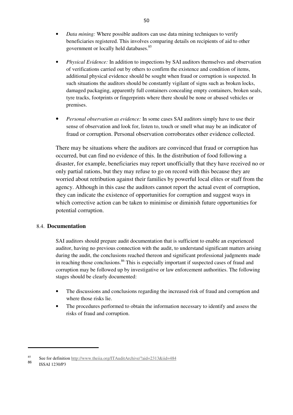- *Data mining:* Where possible auditors can use data mining techniques to verify beneficiaries registered. This involves comparing details on recipients of aid to other government or locally held databases.<sup>85</sup>
- *Physical Evidence:* In addition to inspections by SAI auditors themselves and observation of verifications carried out by others to confirm the existence and condition of items, additional physical evidence should be sought when fraud or corruption is suspected. In such situations the auditors should be constantly vigilant of signs such as broken locks, damaged packaging, apparently full containers concealing empty containers, broken seals, tyre tracks, footprints or fingerprints where there should be none or abused vehicles or premises.
- *Personal observation as evidence:* In some cases SAI auditors simply have to use their sense of observation and look for, listen to, touch or smell what may be an indicator of fraud or corruption. Personal observation corroborates other evidence collected.

There may be situations where the auditors are convinced that fraud or corruption has occurred, but can find no evidence of this. In the distribution of food following a disaster, for example, beneficiaries may report unofficially that they have received no or only partial rations, but they may refuse to go on record with this because they are worried about retribution against their families by powerful local elites or staff from the agency. Although in this case the auditors cannot report the actual event of corruption, they can indicate the existence of opportunities for corruption and suggest ways in which corrective action can be taken to minimise or diminish future opportunities for potential corruption.

#### 8.4. **Documentation**

SAI auditors should prepare audit documentation that is sufficient to enable an experienced auditor, having no previous connection with the audit, to understand significant matters arising during the audit, the conclusions reached thereon and significant professional judgments made in reaching those conclusions.<sup>86</sup> This is especially important if suspected cases of fraud and corruption may be followed up by investigative or law enforcement authorities. The following stages should be clearly documented:

- The discussions and conclusions regarding the increased risk of fraud and corruption and where those risks lie.
- The procedures performed to obtain the information necessary to identify and assess the risks of fraud and corruption.

 85 See for definition http://www.theiia.org/ITAuditArchive/?aid=2313&iid=484

<sup>86</sup> ISSAI 1230/P3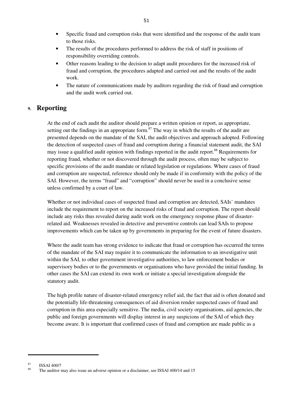- Specific fraud and corruption risks that were identified and the response of the audit team to those risks.
- The results of the procedures performed to address the risk of staff in positions of responsibility overriding controls.
- Other reasons leading to the decision to adapt audit procedures for the increased risk of fraud and corruption, the procedures adapted and carried out and the results of the audit work.
- The nature of communications made by auditors regarding the risk of fraud and corruption and the audit work carried out.

### **9. Reporting**

At the end of each audit the auditor should prepare a written opinion or report, as appropriate, setting out the findings in an appropriate form. $s^7$  The way in which the results of the audit are presented depends on the mandate of the SAI, the audit objectives and approach adopted. Following the detection of suspected cases of fraud and corruption during a financial statement audit, the SAI may issue a qualified audit opinion with findings reported in the audit report.<sup>88</sup> Requirements for reporting fraud, whether or not discovered through the audit process, often may be subject to specific provisions of the audit mandate or related legislation or regulations. Where cases of fraud and corruption are suspected, reference should only be made if in conformity with the policy of the SAI. However, the terms "fraud" and "corruption" should never be used in a conclusive sense unless confirmed by a court of law.

Whether or not individual cases of suspected fraud and corruption are detected, SAIs' mandates include the requirement to report on the increased risks of fraud and corruption. The report should include any risks thus revealed during audit work on the emergency response phase of disasterrelated aid. Weaknesses revealed in detective and preventive controls can lead SAIs to propose improvements which can be taken up by governments in preparing for the event of future disasters.

Where the audit team has strong evidence to indicate that fraud or corruption has occurred the terms of the mandate of the SAI may require it to communicate the information to an investigative unit within the SAI, to other government investigative authorities, to law enforcement bodies or supervisory bodies or to the governments or organisations who have provided the initial funding. In other cases the SAI can extend its own work or initiate a special investigation alongside the statutory audit.

The high profile nature of disaster-related emergency relief aid, the fact that aid is often donated and the potentially life-threatening consequences of aid diversion render suspected cases of fraud and corruption in this area especially sensitive. The media, civil society organisations, aid agencies, the public and foreign governments will display interest in any suspicions of the SAI of which they become aware. It is important that confirmed cases of fraud and corruption are made public as a

  $\frac{87}{88}$  ISSAI 400/7

The auditor may also issue an adverse opinion or a disclaimer, see ISSAI 400/14 and 15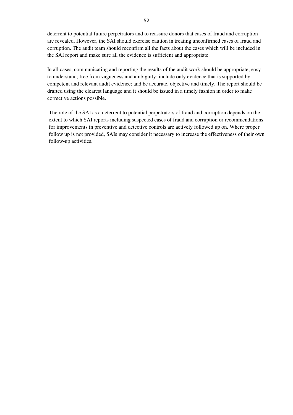deterrent to potential future perpetrators and to reassure donors that cases of fraud and corruption are revealed. However, the SAI should exercise caution in treating unconfirmed cases of fraud and corruption. The audit team should reconfirm all the facts about the cases which will be included in the SAI report and make sure all the evidence is sufficient and appropriate.

In all cases, communicating and reporting the results of the audit work should be appropriate; easy to understand; free from vagueness and ambiguity; include only evidence that is supported by competent and relevant audit evidence; and be accurate, objective and timely. The report should be drafted using the clearest language and it should be issued in a timely fashion in order to make corrective actions possible.

The role of the SAI as a deterrent to potential perpetrators of fraud and corruption depends on the extent to which SAI reports including suspected cases of fraud and corruption or recommendations for improvements in preventive and detective controls are actively followed up on. Where proper follow up is not provided, SAIs may consider it necessary to increase the effectiveness of their own follow-up activities.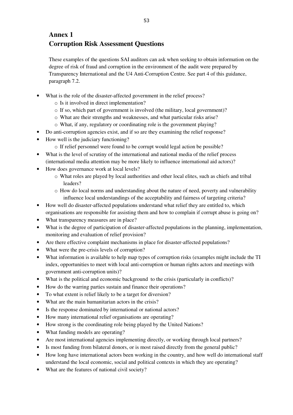## **Annex 1 Corruption Risk Assessment Questions**

These examples of the questions SAI auditors can ask when seeking to obtain information on the degree of risk of fraud and corruption in the environment of the audit were prepared by Transparency International and the U4 Anti-Corruption Centre. See part 4 of this guidance, paragraph 7.2.

- What is the role of the disaster-affected government in the relief process?
	- o Is it involved in direct implementation?
	- o If so, which part of government is involved (the military, local government)?
	- o What are their strengths and weaknesses, and what particular risks arise?
	- o What, if any, regulatory or coordinating role is the government playing?
- Do anti-corruption agencies exist, and if so are they examining the relief response?
- How well is the judiciary functioning?
	- o If relief personnel were found to be corrupt would legal action be possible?
- What is the level of scrutiny of the international and national media of the relief process (international media attention may be more likely to influence international aid actors)?
- How does governance work at local levels?
	- o What roles are played by local authorities and other local elites, such as chiefs and tribal leaders?
	- o How do local norms and understanding about the nature of need, poverty and vulnerability influence local understandings of the acceptability and fairness of targeting criteria?
- How well do disaster-affected populations understand what relief they are entitled to, which organisations are responsible for assisting them and how to complain if corrupt abuse is going on?
- What transparency measures are in place?
- What is the degree of participation of disaster-affected populations in the planning, implementation, monitoring and evaluation of relief provision?
- Are there effective complaint mechanisms in place for disaster-affected populations?
- What were the pre-crisis levels of corruption?
- What information is available to help map types of corruption risks (examples might include the TI index, opportunities to meet with local anti-corruption or human rights actors and meetings with government anti-corruption units)?
- What is the political and economic background to the crisis (particularly in conflicts)?
- How do the warring parties sustain and finance their operations?
- To what extent is relief likely to be a target for diversion?
- What are the main humanitarian actors in the crisis?
- Is the response dominated by international or national actors?
- How many international relief organisations are operating?
- How strong is the coordinating role being played by the United Nations?
- What funding models are operating?
- Are most international agencies implementing directly, or working through local partners?
- Is most funding from bilateral donors, or is most raised directly from the general public?
- How long have international actors been working in the country, and how well do international staff understand the local economic, social and political contexts in which they are operating?
- What are the features of national civil society?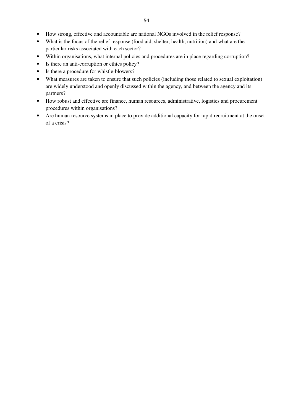- How strong, effective and accountable are national NGOs involved in the relief response?
- What is the focus of the relief response (food aid, shelter, health, nutrition) and what are the particular risks associated with each sector?
- Within organisations, what internal policies and procedures are in place regarding corruption?
- Is there an anti-corruption or ethics policy?
- Is there a procedure for whistle-blowers?
- What measures are taken to ensure that such policies (including those related to sexual exploitation) are widely understood and openly discussed within the agency, and between the agency and its partners?
- How robust and effective are finance, human resources, administrative, logistics and procurement procedures within organisations?
- Are human resource systems in place to provide additional capacity for rapid recruitment at the onset of a crisis?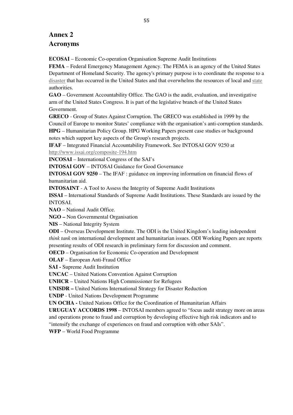### **Annex 2 Acronyms**

**ECOSAI** – Economic Co-operation Organisation Supreme Audit Institutions

**FEMA** – Federal Emergency Management Agency. The FEMA is an agency of the United States Department of Homeland Security. The agency's primary purpose is to coordinate the response to a disaster that has occurred in the United States and that overwhelms the resources of local and state authorities.

**GAO** – Government Accountability Office. The GAO is the audit, evaluation, and investigative arm of the United States Congress. It is part of the legislative branch of the United States Government.

**GRECO** - Group of States Against Corruption. The GRECO was established in 1999 by the Council of Europe to monitor States' compliance with the organisation's anti-corruption standards.

**HPG** – Humanitarian Policy Group. HPG Working Papers present case studies or background notes which support key aspects of the Group's research projects.

**IFAF** – Integrated Financial Accountability Framework. See INTOSAI GOV 9250 at http://www.issai.org/composite-194.htm

**INCOSAI** – International Congress of the SAI's

**INTOSAI GOV** – INTOSAI Guidance for Good Governance

**INTOSAI GOV 9250** – The IFAF : guidance on improving information on financial flows of humanitarian aid.

**INTOSAINT** - A Tool to Assess the Integrity of Supreme Audit Institutions

**ISSAI** – International Standards of Supreme Audit Institutions. These Standards are issued by the INTOSAI.

**NAO** – National Audit Office.

**NGO –** Non Governmental Organisation

**NIS** – National Integrity System

**ODI** – Overseas Development Institute. The ODI is the United Kingdom's leading independent *think tank* on international development and humanitarian issues. ODI Working Papers are reports presenting results of ODI research in preliminary form for discussion and comment.

**OECD** – Organisation for Economic Co-operation and Development

**OLAF** – European Anti-Fraud Office

**SAI -** Supreme Audit Institution

**UNCAC** – United Nations Convention Against Corruption

**UNHCR** – United Nations High Commissioner for Refugees

**UNISDR –** United Nations International Strategy for Disaster Reduction

**UNDP** - United Nations Development Programme

**UN OCHA -** United Nations Office for the Coordination of Humanitarian Affairs

**URUGUAY ACCORDS 1998** – INTOSAI members agreed to "focus audit strategy more on areas and operations prone to fraud and corruption by developing effective high risk indicators and to "intensify the exchange of experiences on fraud and corruption with other SAIs".

**WFP** – World Food Programme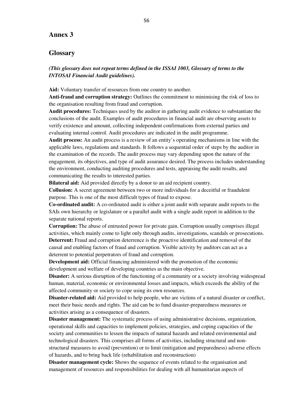### **Annex 3**

### **Glossary**

*(This glossary does not repeat terms defined in the ISSAI 1003, Glossary of terms to the INTOSAI Financial Audit guidelines).* 

**Aid:** Voluntary transfer of resources from one country to another.

**Anti-fraud and corruption strategy:** Outlines the commitment to minimising the risk of loss to the organisation resulting from fraud and corruption.

**Audit procedures:** Techniques used by the auditor in gathering audit evidence to substantiate the conclusions of the audit. Examples of audit procedures in financial audit are observing assets to verify existence and amount, collecting independent confirmations from external parties and evaluating internal control. Audit procedures are indicated in the audit programme.

**Audit process:** An audit process is a review of an entity's operating mechanisms in line with the applicable laws, regulations and standards. It follows a sequential order of steps by the auditor in the examination of the records. The audit process may vary depending upon the nature of the engagement, its objectives, and type of audit assurance desired. The process includes understanding the environment, conducting auditing procedures and tests, appraising the audit results, and communicating the results to interested parties.

**Bilateral aid:** Aid provided directly by a donor to an aid recipient country.

**Collusion:** A secret agreement between two or more individuals for a deceitful or fraudulent purpose. This is one of the most difficult types of fraud to expose.

**Co-ordinated audit:** A co-ordinated audit is either a joint audit with separate audit reports to the SAIs own hierarchy or legislature or a parallel audit with a single audit report in addition to the separate national reports.

**Corruption:** The abuse of entrusted power for private gain. Corruption usually comprises illegal activities, which mainly come to light only through audits, investigations, scandals or prosecutions. **Deterrent:** Fraud and corruption deterrence is the proactive identification and removal of the causal and enabling factors of fraud and corruption. Visible activity by auditors can act as a deterrent to potential perpetrators of fraud and corruption.

**Development aid:** Official financing administered with the promotion of the economic development and welfare of developing countries as the main objective.

**Disaster:** A serious disruption of the functioning of a community or a society involving widespread human, material, economic or environmental losses and impacts, which exceeds the ability of the affected community or society to cope using its own resources.

**Disaster-related aid:** Aid provided to help people, who are victims of a natural disaster or conflict, meet their basic needs and rights. The aid can be to fund disaster-preparedness measures or activities arising as a consequence of disasters.

**Disaster management:** The systematic process of using administrative decisions, organization, operational skills and capacities to implement policies, strategies, and coping capacities of the society and communities to lessen the impacts of natural hazards and related environmental and technological disasters. This comprises all forms of activities, including structural and nonstructural measures to avoid (prevention) or to limit (mitigation and preparedness) adverse effects of hazards, and to bring back life (rehabilitation and reconstruction)

**Disaster management cycle:** Shows the sequence of events related to the organisation and management of resources and responsibilities for dealing with all humanitarian aspects of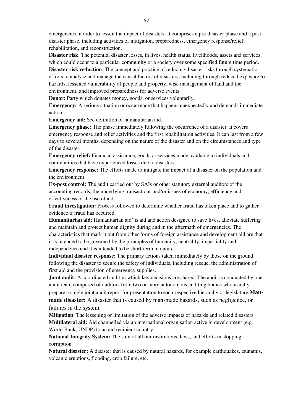emergencies in order to lessen the impact of disasters. It comprises a pre-disaster phase and a postdisaster phase, including activities of mitigation, preparedness, emergency response/relief, rehabilitation, and reconstruction.

**Disaster risk**: The potential disaster losses, in lives, health status, livelihoods, assets and services, which could occur to a particular community or a society over some specified future time period.

**Disaster risk reduction**: The concept and practice of reducing disaster risks through systematic efforts to analyse and manage the causal factors of disasters, including through reduced exposure to hazards, lessened vulnerability of people and property, wise management of land and the environment, and improved preparedness for adverse events.

**Donor:** Party which donates money, goods, or services voluntarily.

**Emergency:** A serious situation or occurrence that happens unexpectedly and demands immediate action.

**Emergency aid:** See definition of humanitarian aid.

**Emergency phase:** The phase immediately following the occurrence of a disaster. It covers emergency response and relief activities and the first rehabilitation activities. It can last from a few days to several months, depending on the nature of the disaster and on the circumstances and type of the disaster.

**Emergency relief:** Financial assistance, goods or services made available to individuals and communities that have experienced losses due to disasters.

**Emergency response:** The efforts made to mitigate the impact of a disaster on the population and the environment.

**Ex-post control:** The audit carried out by SAIs or other statutory external auditors of the accounting records, the underlying transactions and/or issues of economy, efficiency and effectiveness of the use of aid.

**Fraud investigation:** Process followed to determine whether fraud has taken place and to gather evidence if fraud has occurred.

**Humanitarian aid:** Humanitarian aid' is aid and action designed to save lives, alleviate suffering and maintain and protect human dignity during and in the aftermath of emergencies. The characteristics that mark it out from other forms of foreign assistance and development aid are that it is intended to be governed by the principles of humanity, neutrality, impartiality and independence and it is intended to be short-term in nature.

**Individual disaster response:** The primary actions taken immediately by those on the ground following the disaster to secure the safety of individuals, including rescue, the administration of first aid and the provision of emergency supplies.

**Joint audit:** A coordinated audit in which key decisions are shared. The audit is conducted by one audit team composed of auditors from two or more autonomous auditing bodies who usually prepare a single joint audit report for presentation to each respective hierarchy or legislature.**Manmade disaster:** A disaster that is caused by man-made hazards, such as negligence, or failures in the system.

**Mitigation**: The lessening or limitation of the adverse impacts of hazards and related disasters. **Multilateral aid:** Aid channelled via an international organisation active in development (e.g. World Bank, UNDP) to an aid recipient country.

**National Integrity System:** The sum of all our institutions, laws, and efforts in stopping corruption.

**Natural disaster:** A disaster that is caused by natural hazards, for example earthquakes, tsunamis, volcanic eruptions, flooding, crop failure, etc.